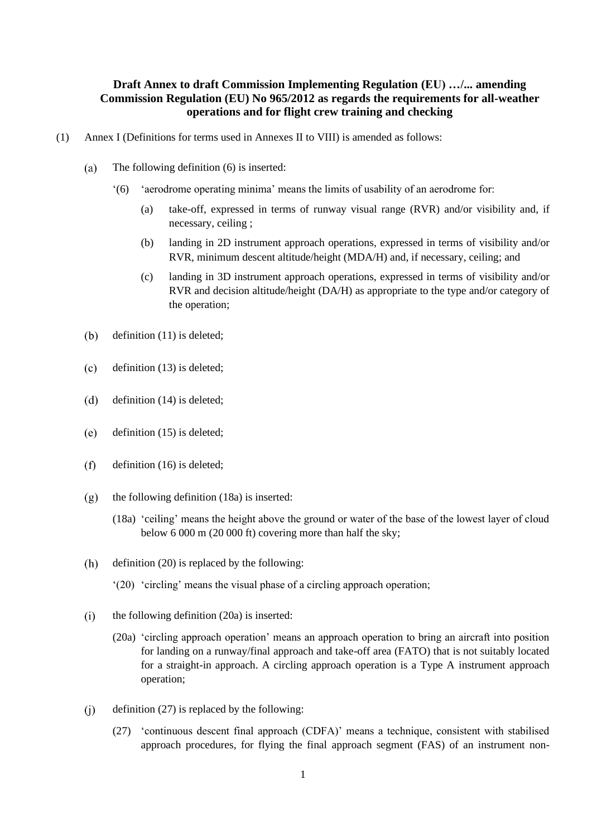# **Draft Annex to draft Commission Implementing Regulation (EU) …/... amending Commission Regulation (EU) No 965/2012 as regards the requirements for all-weather operations and for flight crew training and checking**

- (1) Annex I (Definitions for terms used in Annexes II to VIII) is amended as follows:
	- The following definition (6) is inserted:  $(a)$ 
		- '(6) 'aerodrome operating minima' means the limits of usability of an aerodrome for:
			- (a) take-off, expressed in terms of runway visual range (RVR) and/or visibility and, if necessary, ceiling ;
			- (b) landing in 2D instrument approach operations, expressed in terms of visibility and/or RVR, minimum descent altitude/height (MDA/H) and, if necessary, ceiling; and
			- (c) landing in 3D instrument approach operations, expressed in terms of visibility and/or RVR and decision altitude/height (DA/H) as appropriate to the type and/or category of the operation;
	- $(b)$ definition (11) is deleted;
	- $(c)$ definition (13) is deleted;
	- $(d)$ definition (14) is deleted;
	- $(e)$ definition (15) is deleted;
	- $(f)$ definition (16) is deleted;
	- $(g)$ the following definition (18a) is inserted:
		- (18a) 'ceiling' means the height above the ground or water of the base of the lowest layer of cloud below 6 000 m (20 000 ft) covering more than half the sky;
	- $(h)$ definition (20) is replaced by the following:
		- '(20) 'circling' means the visual phase of a circling approach operation;
	- $(i)$ the following definition (20a) is inserted:
		- (20a) 'circling approach operation' means an approach operation to bring an aircraft into position for landing on a runway/final approach and take-off area (FATO) that is not suitably located for a straight-in approach. A circling approach operation is a Type A instrument approach operation;
	- $(i)$ definition (27) is replaced by the following:
		- (27) 'continuous descent final approach (CDFA)' means a technique, consistent with stabilised approach procedures, for flying the final approach segment (FAS) of an instrument non-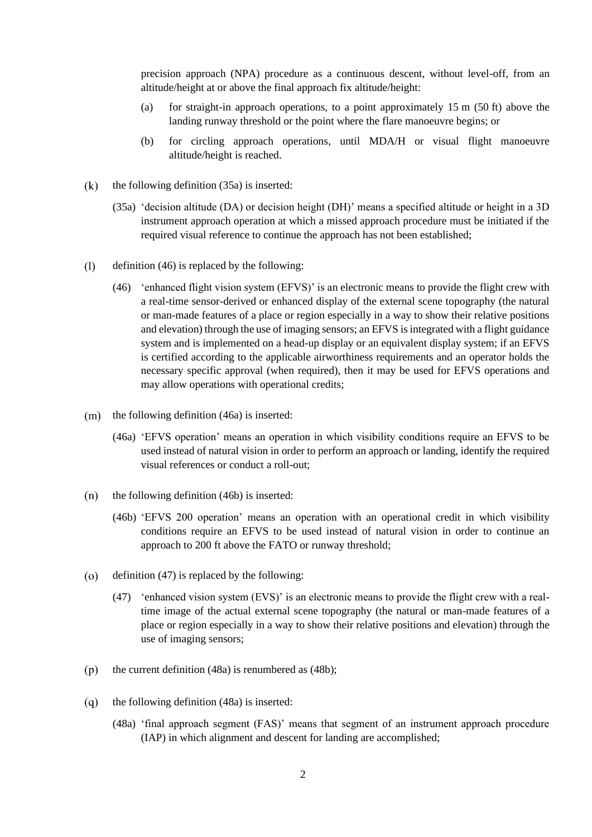precision approach (NPA) procedure as a continuous descent, without level-off, from an altitude/height at or above the final approach fix altitude/height:

- (a) for straight-in approach operations, to a point approximately  $15 \text{ m}$  (50 ft) above the landing runway threshold or the point where the flare manoeuvre begins; or
- (b) for circling approach operations, until MDA/H or visual flight manoeuvre altitude/height is reached.
- $(k)$ the following definition (35a) is inserted:
	- (35a) 'decision altitude (DA) or decision height (DH)' means a specified altitude or height in a 3D instrument approach operation at which a missed approach procedure must be initiated if the required visual reference to continue the approach has not been established;
- $(1)$ definition (46) is replaced by the following:
	- (46) 'enhanced flight vision system (EFVS)' is an electronic means to provide the flight crew with a real-time sensor-derived or enhanced display of the external scene topography (the natural or man-made features of a place or region especially in a way to show their relative positions and elevation) through the use of imaging sensors; an EFVS is integrated with a flight guidance system and is implemented on a head-up display or an equivalent display system; if an EFVS is certified according to the applicable airworthiness requirements and an operator holds the necessary specific approval (when required), then it may be used for EFVS operations and may allow operations with operational credits;
- $(m)$  the following definition (46a) is inserted:
	- (46a) 'EFVS operation' means an operation in which visibility conditions require an EFVS to be used instead of natural vision in order to perform an approach or landing, identify the required visual references or conduct a roll-out;
- $(n)$ the following definition (46b) is inserted:
	- (46b) 'EFVS 200 operation' means an operation with an operational credit in which visibility conditions require an EFVS to be used instead of natural vision in order to continue an approach to 200 ft above the FATO or runway threshold;
- $(0)$ definition (47) is replaced by the following:
	- (47) 'enhanced vision system (EVS)' is an electronic means to provide the flight crew with a realtime image of the actual external scene topography (the natural or man-made features of a place or region especially in a way to show their relative positions and elevation) through the use of imaging sensors;
- the current definition (48a) is renumbered as (48b);  $(p)$
- $(q)$ the following definition (48a) is inserted:
	- (48a) 'final approach segment (FAS)' means that segment of an instrument approach procedure (IAP) in which alignment and descent for landing are accomplished;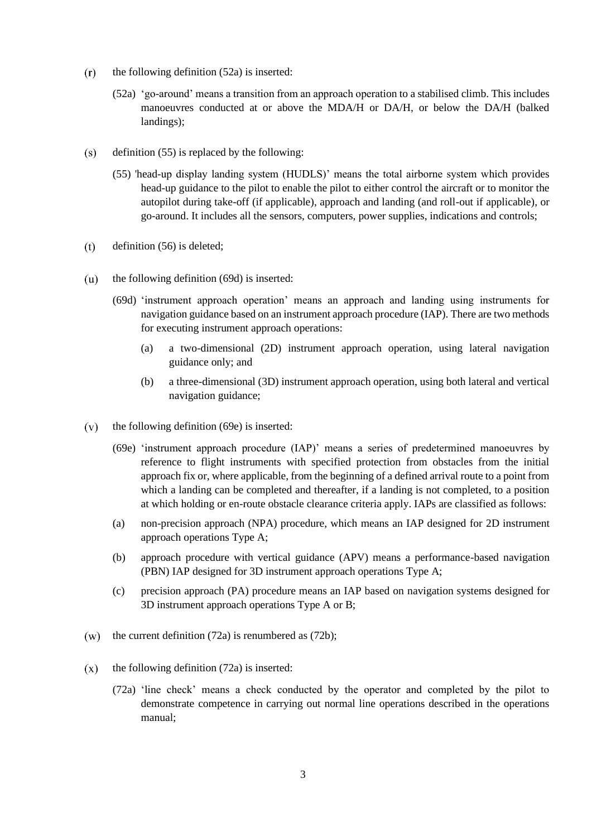- $(r)$ the following definition (52a) is inserted:
	- (52a) 'go-around' means a transition from an approach operation to a stabilised climb. This includes manoeuvres conducted at or above the MDA/H or DA/H, or below the DA/H (balked landings);
- definition (55) is replaced by the following:  $(s)$ 
	- (55) 'head-up display landing system (HUDLS)' means the total airborne system which provides head-up guidance to the pilot to enable the pilot to either control the aircraft or to monitor the autopilot during take-off (if applicable), approach and landing (and roll-out if applicable), or go-around. It includes all the sensors, computers, power supplies, indications and controls;
- $(t)$ definition (56) is deleted;
- $(u)$ the following definition (69d) is inserted:
	- (69d) 'instrument approach operation' means an approach and landing using instruments for navigation guidance based on an instrument approach procedure (IAP). There are two methods for executing instrument approach operations:
		- (a) a two-dimensional (2D) instrument approach operation, using lateral navigation guidance only; and
		- (b) a three-dimensional (3D) instrument approach operation, using both lateral and vertical navigation guidance;
- $(v)$ the following definition (69e) is inserted:
	- (69e) 'instrument approach procedure (IAP)' means a series of predetermined manoeuvres by reference to flight instruments with specified protection from obstacles from the initial approach fix or, where applicable, from the beginning of a defined arrival route to a point from which a landing can be completed and thereafter, if a landing is not completed, to a position at which holding or en-route obstacle clearance criteria apply. IAPs are classified as follows:
	- (a) non-precision approach (NPA) procedure, which means an IAP designed for 2D instrument approach operations Type A;
	- (b) approach procedure with vertical guidance (APV) means a performance-based navigation (PBN) IAP designed for 3D instrument approach operations Type A;
	- (c) precision approach (PA) procedure means an IAP based on navigation systems designed for 3D instrument approach operations Type A or B;
- the current definition (72a) is renumbered as (72b);  $(w)$
- $(x)$ the following definition (72a) is inserted:
	- (72a) 'line check' means a check conducted by the operator and completed by the pilot to demonstrate competence in carrying out normal line operations described in the operations manual;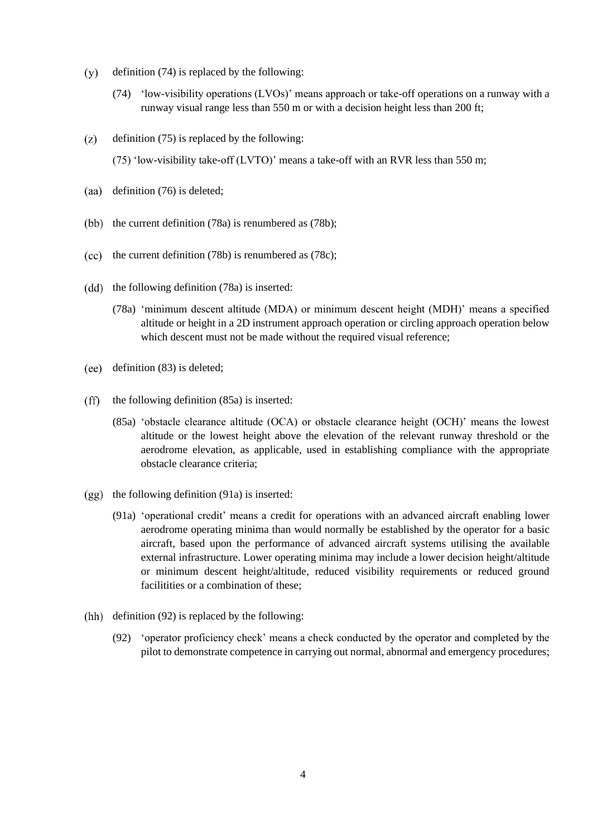- definition (74) is replaced by the following:  $(y)$ 
	- (74) 'low-visibility operations (LVOs)' means approach or take-off operations on a runway with a runway visual range less than 550 m or with a decision height less than 200 ft;
- $(z)$ definition (75) is replaced by the following:

(75) 'low-visibility take-off (LVTO)' means a take-off with an RVR less than 550 m;

- (aa) definition  $(76)$  is deleted;
- (bb) the current definition  $(78a)$  is renumbered as  $(78b)$ ;
- $(cc)$  the current definition (78b) is renumbered as (78c);
- $(dd)$  the following definition  $(78a)$  is inserted:
	- (78a) 'minimum descent altitude (MDA) or minimum descent height (MDH)' means a specified altitude or height in a 2D instrument approach operation or circling approach operation below which descent must not be made without the required visual reference;
- definition (83) is deleted;
- $(f\hat{f})$ the following definition (85a) is inserted:
	- (85a) 'obstacle clearance altitude (OCA) or obstacle clearance height (OCH)' means the lowest altitude or the lowest height above the elevation of the relevant runway threshold or the aerodrome elevation, as applicable, used in establishing compliance with the appropriate obstacle clearance criteria;
- $(gg)$  the following definition (91a) is inserted:
	- (91a) 'operational credit' means a credit for operations with an advanced aircraft enabling lower aerodrome operating minima than would normally be established by the operator for a basic aircraft, based upon the performance of advanced aircraft systems utilising the available external infrastructure. Lower operating minima may include a lower decision height/altitude or minimum descent height/altitude, reduced visibility requirements or reduced ground facilitities or a combination of these:
- (hh) definition  $(92)$  is replaced by the following:
	- (92) 'operator proficiency check' means a check conducted by the operator and completed by the pilot to demonstrate competence in carrying out normal, abnormal and emergency procedures;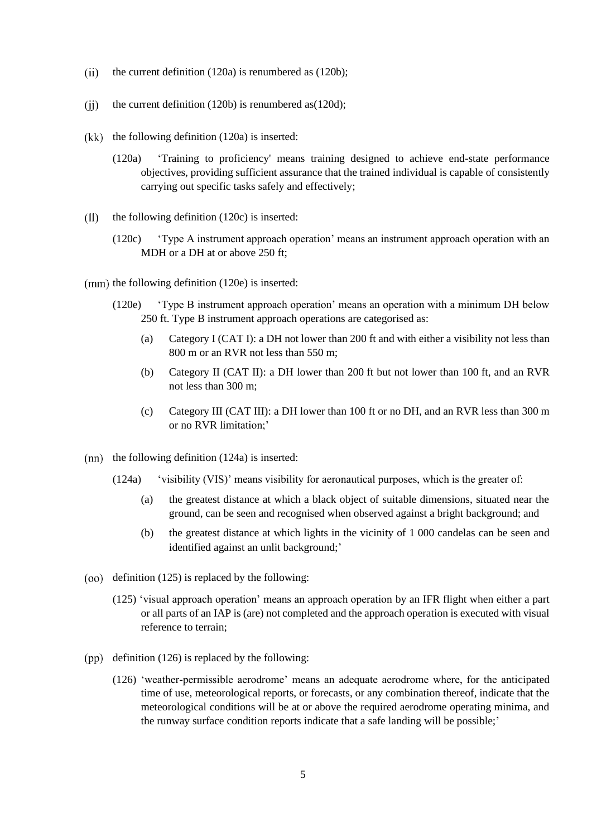- $(ii)$ the current definition (120a) is renumbered as (120b);
- $(ii)$ the current definition (120b) is renumbered as(120d);
- $(kk)$  the following definition  $(120a)$  is inserted:
	- (120a) 'Training to proficiency' means training designed to achieve end-state performance objectives, providing sufficient assurance that the trained individual is capable of consistently carrying out specific tasks safely and effectively;
- $(11)$ the following definition (120c) is inserted:
	- (120c) 'Type A instrument approach operation' means an instrument approach operation with an MDH or a DH at or above 250 ft;
- $(nm)$  the following definition  $(120e)$  is inserted:
	- (120e) 'Type B instrument approach operation' means an operation with a minimum DH below 250 ft. Type B instrument approach operations are categorised as:
		- (a) Category I (CAT I): a DH not lower than 200 ft and with either a visibility not less than 800 m or an RVR not less than 550 m;
		- (b) Category II (CAT II): a DH lower than 200 ft but not lower than 100 ft, and an RVR not less than 300 m;
		- (c) Category III (CAT III): a DH lower than 100 ft or no DH, and an RVR less than 300 m or no RVR limitation;'
- $(nn)$  the following definition  $(124a)$  is inserted:
	- (124a) 'visibility (VIS)' means visibility for aeronautical purposes, which is the greater of:
		- (a) the greatest distance at which a black object of suitable dimensions, situated near the ground, can be seen and recognised when observed against a bright background; and
		- (b) the greatest distance at which lights in the vicinity of 1 000 candelas can be seen and identified against an unlit background;'
- $(00)$  definition (125) is replaced by the following:
	- (125) 'visual approach operation' means an approach operation by an IFR flight when either a part or all parts of an IAP is (are) not completed and the approach operation is executed with visual reference to terrain;
- $(pp)$  definition (126) is replaced by the following:
	- (126) 'weather-permissible aerodrome' means an adequate aerodrome where, for the anticipated time of use, meteorological reports, or forecasts, or any combination thereof, indicate that the meteorological conditions will be at or above the required aerodrome operating minima, and the runway surface condition reports indicate that a safe landing will be possible;'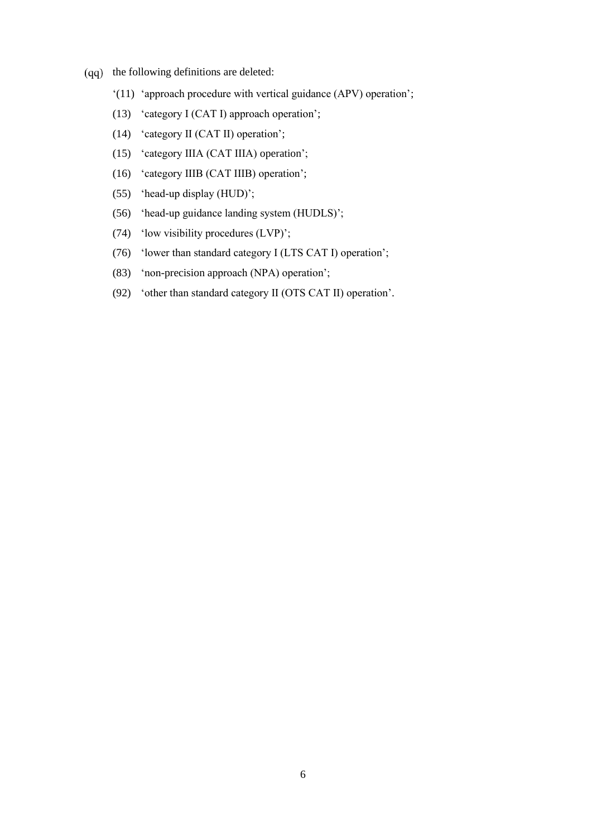- $(qq)$  the following definitions are deleted:
	- '(11) 'approach procedure with vertical guidance (APV) operation';
	- (13) 'category I (CAT I) approach operation';
	- (14) 'category II (CAT II) operation';
	- (15) 'category IIIA (CAT IIIA) operation';
	- (16) 'category IIIB (CAT IIIB) operation';
	- (55) 'head-up display (HUD)';
	- (56) 'head-up guidance landing system (HUDLS)';
	- (74) 'low visibility procedures (LVP)';
	- (76) 'lower than standard category I (LTS CAT I) operation';
	- (83) 'non-precision approach (NPA) operation';
	- (92) 'other than standard category II (OTS CAT II) operation'.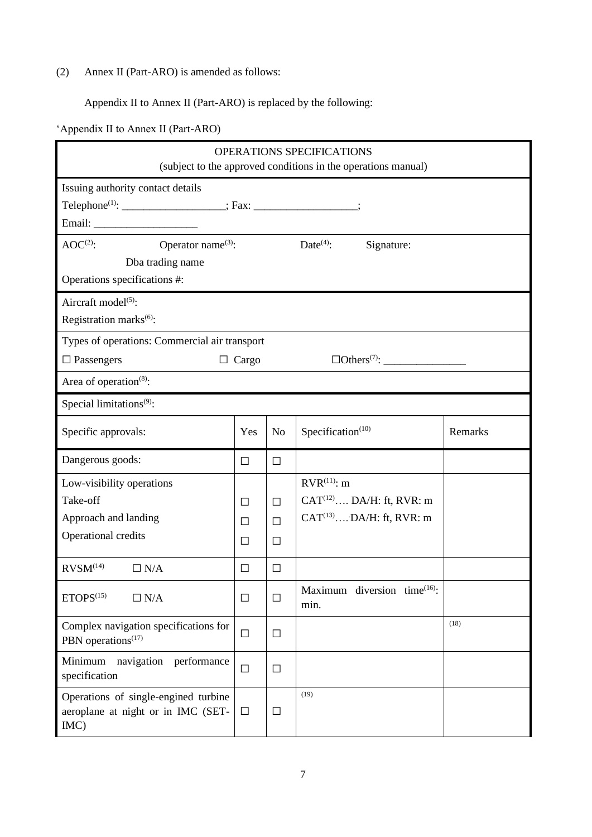(2) Annex II (Part-ARO) is amended as follows:

Appendix II to Annex II (Part-ARO) is replaced by the following:

'Appendix II to Annex II (Part-ARO)

| OPERATIONS SPECIFICATIONS<br>(subject to the approved conditions in the operations manual)                  |              |                |                                      |         |  |  |
|-------------------------------------------------------------------------------------------------------------|--------------|----------------|--------------------------------------|---------|--|--|
| Issuing authority contact details<br>Telephone <sup>(1)</sup> : ____________________; Fax: _______________; |              |                |                                      |         |  |  |
|                                                                                                             |              |                |                                      |         |  |  |
| $AOC^{(2)}$ :<br>Operator name <sup>(3)</sup> :<br>Dba trading name                                         |              |                | $Date^{(4)}$ :<br>Signature:         |         |  |  |
| Operations specifications #:                                                                                |              |                |                                      |         |  |  |
| Aircraft model <sup>(5)</sup> :<br>Registration marks <sup>(6)</sup> :                                      |              |                |                                      |         |  |  |
| Types of operations: Commercial air transport                                                               |              |                |                                      |         |  |  |
| $\Box$ Passengers                                                                                           | $\Box$ Cargo |                |                                      |         |  |  |
| Area of operation <sup>(8)</sup> :                                                                          |              |                |                                      |         |  |  |
| Special limitations <sup>(9)</sup> :                                                                        |              |                |                                      |         |  |  |
| Specific approvals:                                                                                         | Yes          | N <sub>o</sub> | Specification $(10)$                 | Remarks |  |  |
| Dangerous goods:                                                                                            | $\Box$       | $\Box$         |                                      |         |  |  |
| Low-visibility operations                                                                                   |              |                | $RVR^{(11)}$ : m                     |         |  |  |
| Take-off                                                                                                    | $\Box$       | $\Box$         | $CAT^{(12)} \dots DA/H$ : ft, RVR: m |         |  |  |
| Approach and landing                                                                                        | П            | $\Box$         | $CAT^{(13)} \dots DA/H$ : ft, RVR: m |         |  |  |
| Operational credits                                                                                         | П            | $\Box$         |                                      |         |  |  |
| RVSM <sup>(14)</sup><br>$\Box$ N/A                                                                          | □            | $\Box$         |                                      |         |  |  |
| $ETOPS$ <sup>(15)</sup><br>$\Box$ N/A                                                                       | $\Box$       | $\Box$         | Maximum diversion time(16):<br>min.  |         |  |  |
| Complex navigation specifications for<br>PBN operations <sup>(17)</sup>                                     | $\Box$       | $\Box$         |                                      | (18)    |  |  |
| Minimum<br>navigation<br>performance<br>specification                                                       | $\Box$       | $\Box$         |                                      |         |  |  |
| Operations of single-engined turbine<br>aeroplane at night or in IMC (SET-<br>IMC)                          | $\Box$       | $\Box$         | (19)                                 |         |  |  |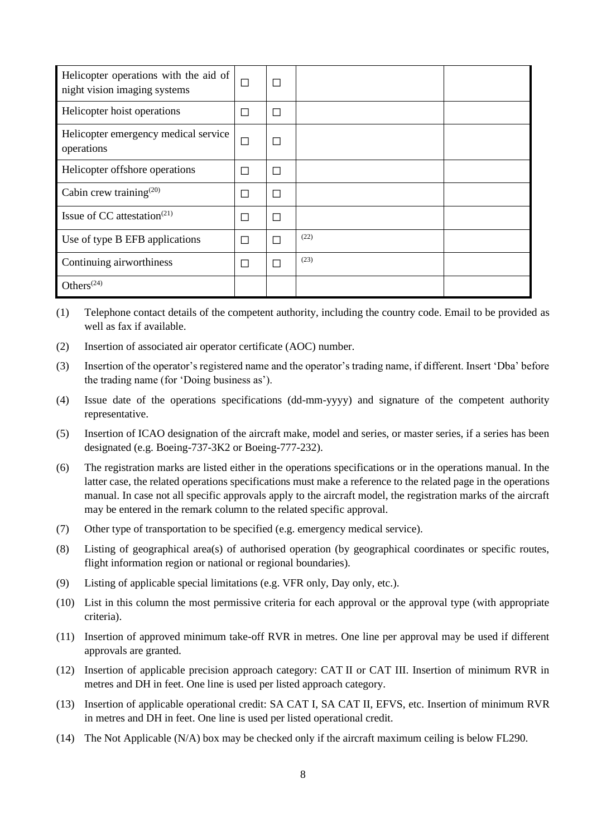| Helicopter operations with the aid of<br>night vision imaging systems | П      | $\Box$ |      |  |
|-----------------------------------------------------------------------|--------|--------|------|--|
| Helicopter hoist operations                                           | П      | $\Box$ |      |  |
| Helicopter emergency medical service<br>operations                    | $\Box$ | $\Box$ |      |  |
| Helicopter offshore operations                                        | П      | П      |      |  |
| Cabin crew training <sup><math>(20)</math></sup>                      | П      | П      |      |  |
| Issue of CC attestation <sup><math>(21)</math></sup>                  | П      | П      |      |  |
| Use of type B EFB applications                                        | П      | П      | (22) |  |
| Continuing airworthiness                                              |        |        | (23) |  |
| Others $(24)$                                                         |        |        |      |  |

(1) Telephone contact details of the competent authority, including the country code. Email to be provided as well as fax if available.

- (2) Insertion of associated air operator certificate (AOC) number.
- (3) Insertion of the operator's registered name and the operator's trading name, if different. Insert 'Dba' before the trading name (for 'Doing business as').
- (4) Issue date of the operations specifications (dd-mm-yyyy) and signature of the competent authority representative.
- (5) Insertion of ICAO designation of the aircraft make, model and series, or master series, if a series has been designated (e.g. Boeing-737-3K2 or Boeing-777-232).
- (6) The registration marks are listed either in the operations specifications or in the operations manual. In the latter case, the related operations specifications must make a reference to the related page in the operations manual. In case not all specific approvals apply to the aircraft model, the registration marks of the aircraft may be entered in the remark column to the related specific approval.
- (7) Other type of transportation to be specified (e.g. emergency medical service).
- (8) Listing of geographical area(s) of authorised operation (by geographical coordinates or specific routes, flight information region or national or regional boundaries).
- (9) Listing of applicable special limitations (e.g. VFR only, Day only, etc.).
- (10) List in this column the most permissive criteria for each approval or the approval type (with appropriate criteria).
- (11) Insertion of approved minimum take-off RVR in metres. One line per approval may be used if different approvals are granted.
- (12) Insertion of applicable precision approach category: CAT II or CAT III. Insertion of minimum RVR in metres and DH in feet. One line is used per listed approach category.
- (13) Insertion of applicable operational credit: SA CAT I, SA CAT II, EFVS, etc. Insertion of minimum RVR in metres and DH in feet. One line is used per listed operational credit.
- (14) The Not Applicable (N/A) box may be checked only if the aircraft maximum ceiling is below FL290.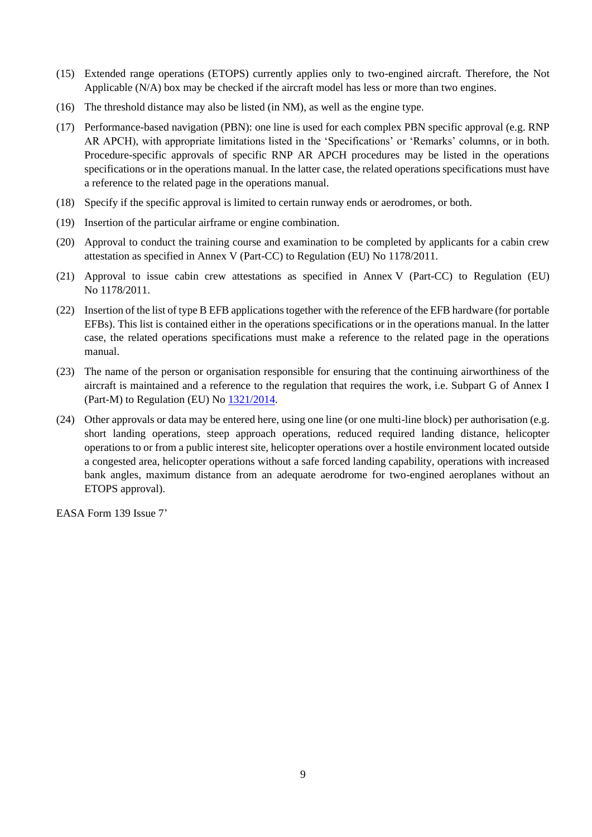- (15) Extended range operations (ETOPS) currently applies only to two-engined aircraft. Therefore, the Not Applicable (N/A) box may be checked if the aircraft model has less or more than two engines.
- (16) The threshold distance may also be listed (in NM), as well as the engine type.
- (17) Performance-based navigation (PBN): one line is used for each complex PBN specific approval (e.g. RNP AR APCH), with appropriate limitations listed in the 'Specifications' or 'Remarks' columns, or in both. Procedure-specific approvals of specific RNP AR APCH procedures may be listed in the operations specifications or in the operations manual. In the latter case, the related operations specifications must have a reference to the related page in the operations manual.
- (18) Specify if the specific approval is limited to certain runway ends or aerodromes, or both.
- (19) Insertion of the particular airframe or engine combination.
- (20) Approval to conduct the training course and examination to be completed by applicants for a cabin crew attestation as specified in Annex V (Part-CC) to Regulation (EU) No 1178/2011.
- (21) Approval to issue cabin crew attestations as specified in Annex V (Part-CC) to Regulation (EU) No 1178/2011.
- (22) Insertion of the list of type B EFB applications together with the reference of the EFB hardware (for portable EFBs). This list is contained either in the operations specifications or in the operations manual. In the latter case, the related operations specifications must make a reference to the related page in the operations manual.
- (23) The name of the person or organisation responsible for ensuring that the continuing airworthiness of the aircraft is maintained and a reference to the regulation that requires the work, i.e. Subpart G of Annex I (Part-M) to Regulation (EU) No  $1321/2014$ .
- (24) Other approvals or data may be entered here, using one line (or one multi-line block) per authorisation (e.g. short landing operations, steep approach operations, reduced required landing distance, helicopter operations to or from a public interest site, helicopter operations over a hostile environment located outside a congested area, helicopter operations without a safe forced landing capability, operations with increased bank angles, maximum distance from an adequate aerodrome for two-engined aeroplanes without an ETOPS approval).

EASA Form 139 Issue 7'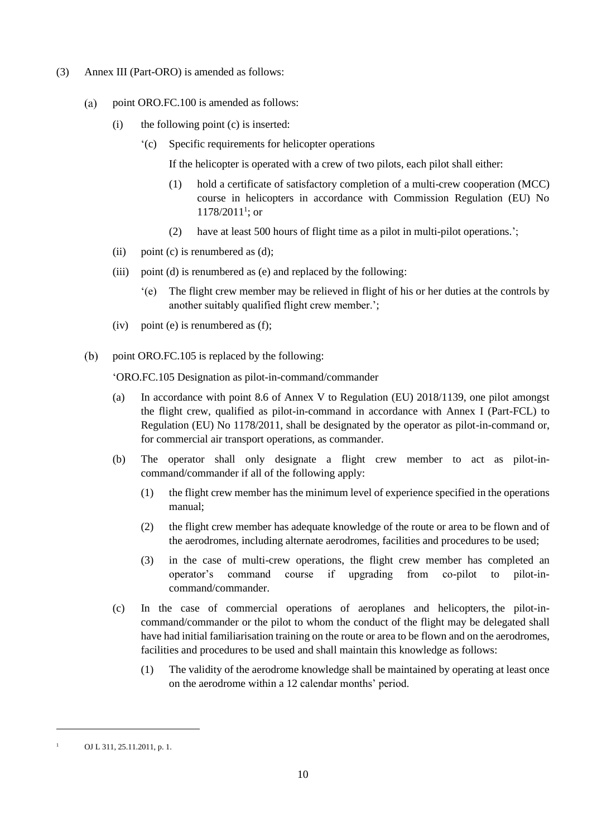- (3) Annex III (Part-ORO) is amended as follows:
	- $(a)$ point ORO.FC.100 is amended as follows:
		- (i) the following point (c) is inserted:
			- '(c) Specific requirements for helicopter operations

If the helicopter is operated with a crew of two pilots, each pilot shall either:

- (1) hold a certificate of satisfactory completion of a multi-crew cooperation (MCC) course in helicopters in accordance with Commission Regulation (EU) No  $1178/2011^{1}$ ; or
- (2) have at least 500 hours of flight time as a pilot in multi-pilot operations.';
- (ii) point (c) is renumbered as  $(d)$ :
- (iii) point (d) is renumbered as (e) and replaced by the following:
	- '(e) The flight crew member may be relieved in flight of his or her duties at the controls by another suitably qualified flight crew member.';
- (iv) point (e) is renumbered as (f);
- point ORO.FC.105 is replaced by the following:  $(b)$

'ORO.FC.105 Designation as pilot-in-command/commander

- (a) In accordance with point 8.6 of Annex V to Regulation (EU) 2018/1139, one pilot amongst the flight crew, qualified as pilot-in-command in accordance with Annex I (Part-FCL) to Regulation (EU) No 1178/2011, shall be designated by the operator as pilot-in-command or, for commercial air transport operations, as commander.
- (b) The operator shall only designate a flight crew member to act as pilot-incommand/commander if all of the following apply:
	- (1) the flight crew member has the minimum level of experience specified in the operations manual;
	- (2) the flight crew member has adequate knowledge of the route or area to be flown and of the aerodromes, including alternate aerodromes, facilities and procedures to be used;
	- (3) in the case of multi-crew operations, the flight crew member has completed an operator's command course if upgrading from co-pilot to pilot-incommand/commander.
- (c) In the case of commercial operations of aeroplanes and helicopters, the pilot-incommand/commander or the pilot to whom the conduct of the flight may be delegated shall have had initial familiarisation training on the route or area to be flown and on the aerodromes, facilities and procedures to be used and shall maintain this knowledge as follows:
	- (1) The validity of the aerodrome knowledge shall be maintained by operating at least once on the aerodrome within a 12 calendar months' period.

<sup>&</sup>lt;sup>1</sup> OJ L 311, 25.11.2011, p. 1.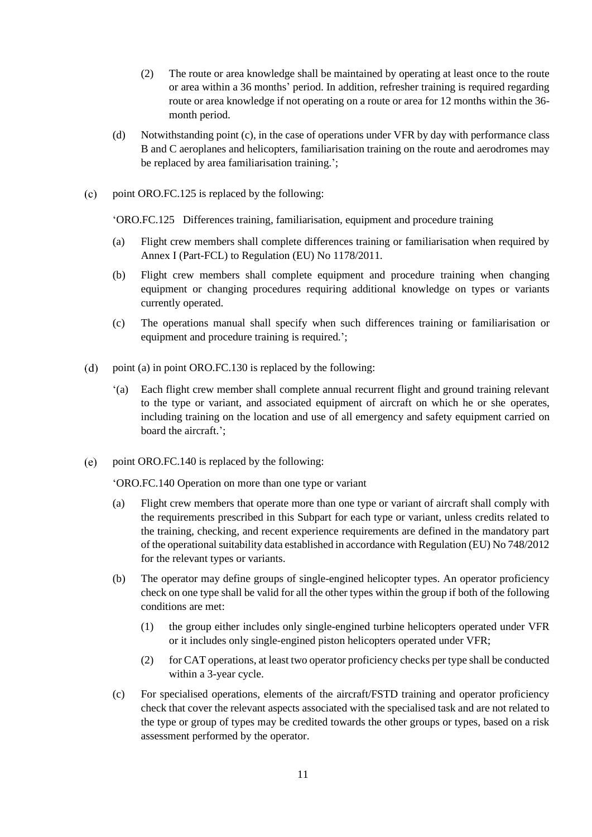- (2) The route or area knowledge shall be maintained by operating at least once to the route or area within a 36 months' period. In addition, refresher training is required regarding route or area knowledge if not operating on a route or area for 12 months within the 36 month period.
- (d) Notwithstanding point (c), in the case of operations under VFR by day with performance class B and C aeroplanes and helicopters, familiarisation training on the route and aerodromes may be replaced by area familiarisation training.';
- $(c)$ point ORO.FC.125 is replaced by the following:

'ORO.FC.125 Differences training, familiarisation, equipment and procedure training

- (a) Flight crew members shall complete differences training or familiarisation when required by Annex I (Part-FCL) to Regulation (EU) No 1178/2011.
- (b) Flight crew members shall complete equipment and procedure training when changing equipment or changing procedures requiring additional knowledge on types or variants currently operated.
- (c) The operations manual shall specify when such differences training or familiarisation or equipment and procedure training is required.';
- $(d)$ point (a) in point ORO.FC.130 is replaced by the following:
	- '(a) Each flight crew member shall complete annual recurrent flight and ground training relevant to the type or variant, and associated equipment of aircraft on which he or she operates, including training on the location and use of all emergency and safety equipment carried on board the aircraft.';
- point ORO.FC.140 is replaced by the following:  $(e)$

'ORO.FC.140 Operation on more than one type or variant

- (a) Flight crew members that operate more than one type or variant of aircraft shall comply with the requirements prescribed in this Subpart for each type or variant, unless credits related to the training, checking, and recent experience requirements are defined in the mandatory part of the operational suitability data established in accordance with Regulation (EU) No 748/2012 for the relevant types or variants.
- (b) The operator may define groups of single-engined helicopter types. An operator proficiency check on one type shall be valid for all the other types within the group if both of the following conditions are met:
	- (1) the group either includes only single-engined turbine helicopters operated under VFR or it includes only single-engined piston helicopters operated under VFR;
	- (2) for CAT operations, at least two operator proficiency checks per type shall be conducted within a 3-year cycle.
- (c) For specialised operations, elements of the aircraft/FSTD training and operator proficiency check that cover the relevant aspects associated with the specialised task and are not related to the type or group of types may be credited towards the other groups or types, based on a risk assessment performed by the operator.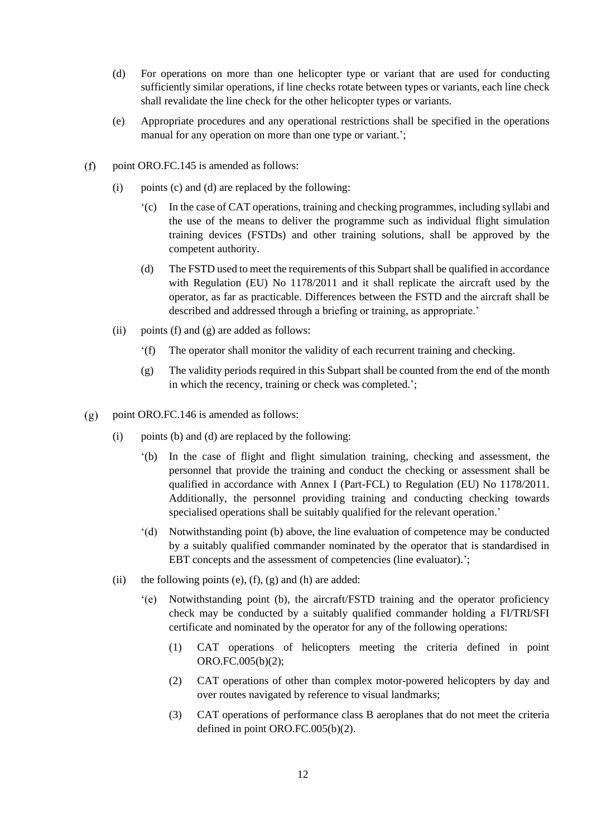- (d) For operations on more than one helicopter type or variant that are used for conducting sufficiently similar operations, if line checks rotate between types or variants, each line check shall revalidate the line check for the other helicopter types or variants.
- (e) Appropriate procedures and any operational restrictions shall be specified in the operations manual for any operation on more than one type or variant.';
- point ORO.FC.145 is amended as follows:  $(f)$ 
	- (i) points (c) and (d) are replaced by the following:
		- '(c) In the case of CAT operations, training and checking programmes, including syllabi and the use of the means to deliver the programme such as individual flight simulation training devices (FSTDs) and other training solutions, shall be approved by the competent authority.
		- (d) The FSTD used to meet the requirements of this Subpart shall be qualified in accordance with Regulation (EU) No 1178/2011 and it shall replicate the aircraft used by the operator, as far as practicable. Differences between the FSTD and the aircraft shall be described and addressed through a briefing or training, as appropriate.'
	- (ii) points (f) and (g) are added as follows:
		- '(f) The operator shall monitor the validity of each recurrent training and checking.
		- (g) The validity periods required in this Subpart shall be counted from the end of the month in which the recency, training or check was completed.';
- point ORO.FC.146 is amended as follows:  $(g)$ 
	- (i) points (b) and (d) are replaced by the following:
		- '(b) In the case of flight and flight simulation training, checking and assessment, the personnel that provide the training and conduct the checking or assessment shall be qualified in accordance with Annex I (Part-FCL) to Regulation (EU) No 1178/2011. Additionally, the personnel providing training and conducting checking towards specialised operations shall be suitably qualified for the relevant operation.'
		- '(d) Notwithstanding point (b) above, the line evaluation of competence may be conducted by a suitably qualified commander nominated by the operator that is standardised in EBT concepts and the assessment of competencies (line evaluator).';
	- (ii) the following points (e),  $(f)$ ,  $(g)$  and  $(h)$  are added:
		- '(e) Notwithstanding point (b), the aircraft/FSTD training and the operator proficiency check may be conducted by a suitably qualified commander holding a FI/TRI/SFI certificate and nominated by the operator for any of the following operations:
			- (1) CAT operations of helicopters meeting the criteria defined in point ORO.FC.005(b)(2);
			- (2) CAT operations of other than complex motor-powered helicopters by day and over routes navigated by reference to visual landmarks;
			- (3) CAT operations of performance class B aeroplanes that do not meet the criteria defined in point ORO.FC.005(b)(2).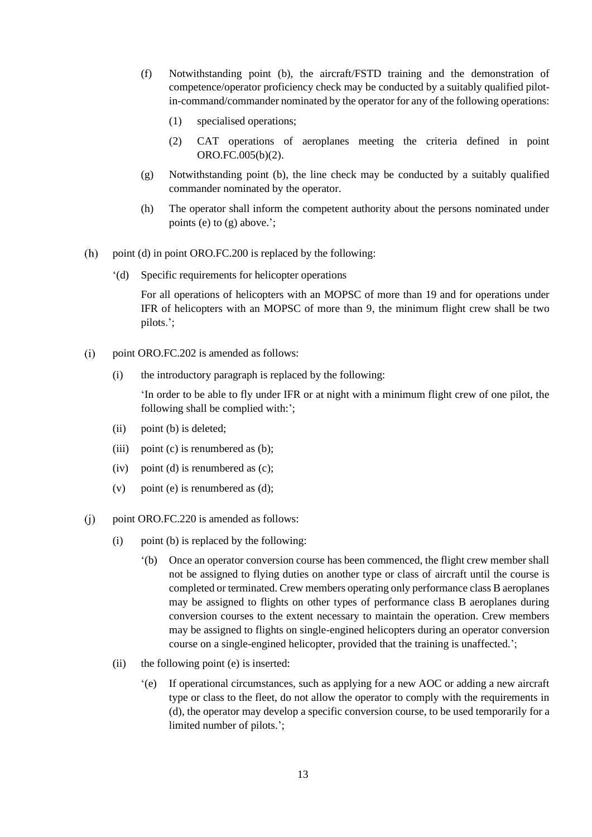- (f) Notwithstanding point (b), the aircraft/FSTD training and the demonstration of competence/operator proficiency check may be conducted by a suitably qualified pilotin-command/commander nominated by the operator for any of the following operations:
	- (1) specialised operations;
	- (2) CAT operations of aeroplanes meeting the criteria defined in point ORO.FC.005(b)(2).
- (g) Notwithstanding point (b), the line check may be conducted by a suitably qualified commander nominated by the operator.
- (h) The operator shall inform the competent authority about the persons nominated under points (e) to (g) above.';
- $(h)$ point (d) in point ORO.FC.200 is replaced by the following:
	- '(d) Specific requirements for helicopter operations

For all operations of helicopters with an MOPSC of more than 19 and for operations under IFR of helicopters with an MOPSC of more than 9, the minimum flight crew shall be two pilots.';

- $(i)$ point ORO.FC.202 is amended as follows:
	- (i) the introductory paragraph is replaced by the following:

'In order to be able to fly under IFR or at night with a minimum flight crew of one pilot, the following shall be complied with:';

- (ii) point (b) is deleted;
- (iii) point (c) is renumbered as  $(b)$ ;
- (iv) point (d) is renumbered as (c);
- (v) point (e) is renumbered as  $(d)$ ;
- $(i)$ point ORO.FC.220 is amended as follows:
	- (i) point (b) is replaced by the following:
		- '(b) Once an operator conversion course has been commenced, the flight crew member shall not be assigned to flying duties on another type or class of aircraft until the course is completed or terminated. Crew members operating only performance class B aeroplanes may be assigned to flights on other types of performance class B aeroplanes during conversion courses to the extent necessary to maintain the operation. Crew members may be assigned to flights on single-engined helicopters during an operator conversion course on a single-engined helicopter, provided that the training is unaffected.';
	- (ii) the following point (e) is inserted:
		- '(e) If operational circumstances, such as applying for a new AOC or adding a new aircraft type or class to the fleet, do not allow the operator to comply with the requirements in (d), the operator may develop a specific conversion course, to be used temporarily for a limited number of pilots.';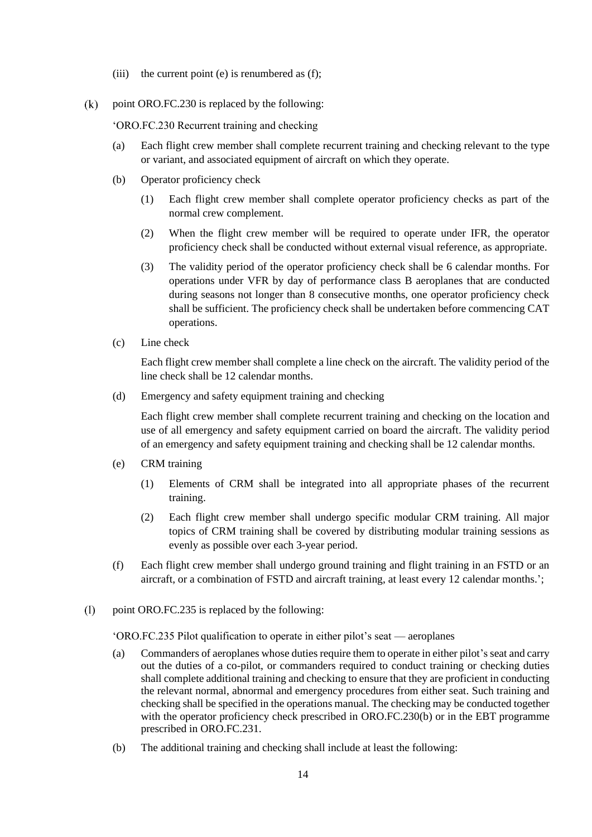- (iii) the current point (e) is renumbered as  $(f)$ ;
- $(k)$ point ORO.FC.230 is replaced by the following:

'ORO.FC.230 Recurrent training and checking

- (a) Each flight crew member shall complete recurrent training and checking relevant to the type or variant, and associated equipment of aircraft on which they operate.
- (b) Operator proficiency check
	- (1) Each flight crew member shall complete operator proficiency checks as part of the normal crew complement.
	- (2) When the flight crew member will be required to operate under IFR, the operator proficiency check shall be conducted without external visual reference, as appropriate.
	- (3) The validity period of the operator proficiency check shall be 6 calendar months. For operations under VFR by day of performance class B aeroplanes that are conducted during seasons not longer than 8 consecutive months, one operator proficiency check shall be sufficient. The proficiency check shall be undertaken before commencing CAT operations.
- (c) Line check

Each flight crew member shall complete a line check on the aircraft. The validity period of the line check shall be 12 calendar months.

(d) Emergency and safety equipment training and checking

Each flight crew member shall complete recurrent training and checking on the location and use of all emergency and safety equipment carried on board the aircraft. The validity period of an emergency and safety equipment training and checking shall be 12 calendar months.

- (e) CRM training
	- (1) Elements of CRM shall be integrated into all appropriate phases of the recurrent training.
	- (2) Each flight crew member shall undergo specific modular CRM training. All major topics of CRM training shall be covered by distributing modular training sessions as evenly as possible over each 3-year period.
- (f) Each flight crew member shall undergo ground training and flight training in an FSTD or an aircraft, or a combination of FSTD and aircraft training, at least every 12 calendar months.';
- $(1)$ point ORO.FC.235 is replaced by the following:

'ORO.FC.235 Pilot qualification to operate in either pilot's seat — aeroplanes

- (a) Commanders of aeroplanes whose duties require them to operate in either pilot's seat and carry out the duties of a co-pilot, or commanders required to conduct training or checking duties shall complete additional training and checking to ensure that they are proficient in conducting the relevant normal, abnormal and emergency procedures from either seat. Such training and checking shall be specified in the operations manual. The checking may be conducted together with the operator proficiency check prescribed in ORO.FC.230(b) or in the EBT programme prescribed in ORO.FC.231.
- (b) The additional training and checking shall include at least the following: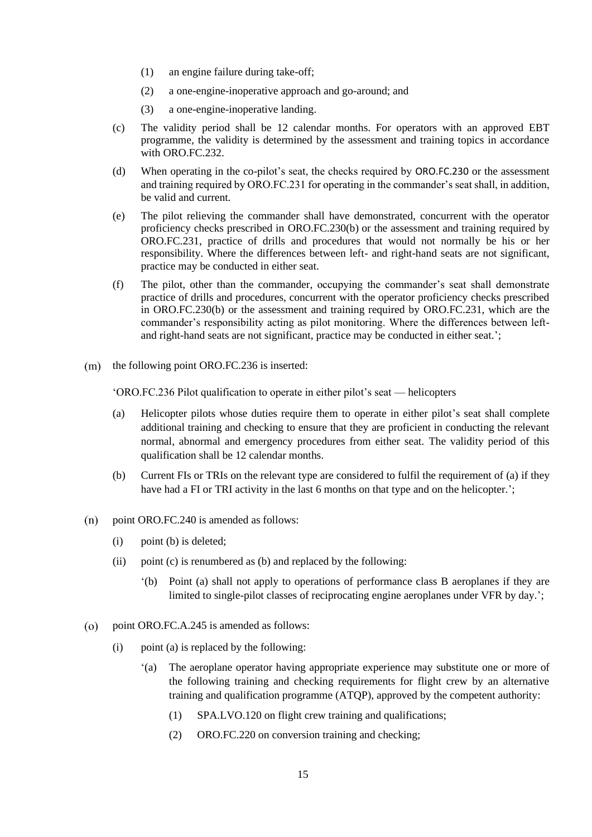- (1) an engine failure during take-off;
- (2) a one-engine-inoperative approach and go-around; and
- (3) a one-engine-inoperative landing.
- (c) The validity period shall be 12 calendar months. For operators with an approved EBT programme, the validity is determined by the assessment and training topics in accordance with ORO.FC.232.
- (d) When operating in the co-pilot's seat, the checks required by ORO.FC.230 or the assessment and training required by ORO.FC.231 for operating in the commander's seat shall, in addition, be valid and current.
- (e) The pilot relieving the commander shall have demonstrated, concurrent with the operator proficiency checks prescribed in ORO.FC.230(b) or the assessment and training required by ORO.FC.231, practice of drills and procedures that would not normally be his or her responsibility. Where the differences between left- and right-hand seats are not significant, practice may be conducted in either seat.
- (f) The pilot, other than the commander, occupying the commander's seat shall demonstrate practice of drills and procedures, concurrent with the operator proficiency checks prescribed in ORO.FC.230(b) or the assessment and training required by ORO.FC.231, which are the commander's responsibility acting as pilot monitoring. Where the differences between leftand right-hand seats are not significant, practice may be conducted in either seat.';
- $(m)$  the following point ORO.FC.236 is inserted:

'ORO.FC.236 Pilot qualification to operate in either pilot's seat — helicopters

- (a) Helicopter pilots whose duties require them to operate in either pilot's seat shall complete additional training and checking to ensure that they are proficient in conducting the relevant normal, abnormal and emergency procedures from either seat. The validity period of this qualification shall be 12 calendar months.
- (b) Current FIs or TRIs on the relevant type are considered to fulfil the requirement of (a) if they have had a FI or TRI activity in the last 6 months on that type and on the helicopter.';
- point ORO.FC.240 is amended as follows:  $(n)$ 
	- (i) point (b) is deleted;
	- (ii) point (c) is renumbered as (b) and replaced by the following:
		- '(b) Point (a) shall not apply to operations of performance class B aeroplanes if they are limited to single-pilot classes of reciprocating engine aeroplanes under VFR by day.';
- point ORO.FC.A.245 is amended as follows:  $(0)$ 
	- (i) point (a) is replaced by the following:
		- '(a) The aeroplane operator having appropriate experience may substitute one or more of the following training and checking requirements for flight crew by an alternative training and qualification programme (ATQP), approved by the competent authority:
			- (1) SPA.LVO.120 on flight crew training and qualifications;
			- (2) ORO.FC.220 on conversion training and checking;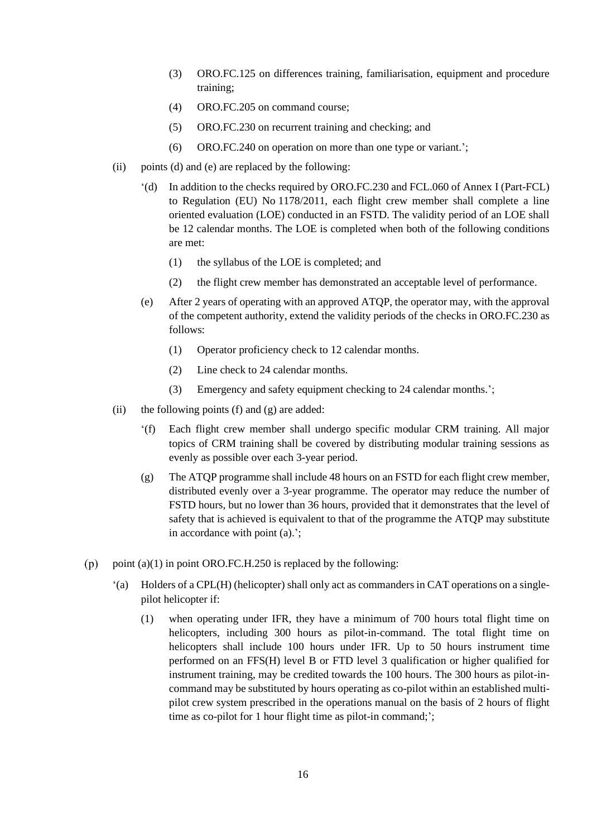- (3) ORO.FC.125 on differences training, familiarisation, equipment and procedure training;
- (4) ORO.FC.205 on command course;
- (5) ORO.FC.230 on recurrent training and checking; and
- (6) ORO.FC.240 on operation on more than one type or variant.';
- (ii) points (d) and (e) are replaced by the following:
	- '(d) In addition to the checks required by ORO.FC.230 and FCL.060 of Annex I (Part-FCL) to Regulation (EU) No 1178/2011, each flight crew member shall complete a line oriented evaluation (LOE) conducted in an FSTD. The validity period of an LOE shall be 12 calendar months. The LOE is completed when both of the following conditions are met:
		- (1) the syllabus of the LOE is completed; and
		- (2) the flight crew member has demonstrated an acceptable level of performance.
	- (e) After 2 years of operating with an approved ATQP, the operator may, with the approval of the competent authority, extend the validity periods of the checks in ORO.FC.230 as follows:
		- (1) Operator proficiency check to 12 calendar months.
		- (2) Line check to 24 calendar months.
		- (3) Emergency and safety equipment checking to 24 calendar months.';
- (ii) the following points (f) and  $(g)$  are added:
	- '(f) Each flight crew member shall undergo specific modular CRM training. All major topics of CRM training shall be covered by distributing modular training sessions as evenly as possible over each 3-year period.
	- (g) The ATQP programme shall include 48 hours on an FSTD for each flight crew member, distributed evenly over a 3-year programme. The operator may reduce the number of FSTD hours, but no lower than 36 hours, provided that it demonstrates that the level of safety that is achieved is equivalent to that of the programme the ATQP may substitute in accordance with point (a).';
- point (a)(1) in point ORO.FC.H.250 is replaced by the following:  $(p)$ 
	- '(a) Holders of a CPL(H) (helicopter) shall only act as commanders in CAT operations on a singlepilot helicopter if:
		- (1) when operating under IFR, they have a minimum of 700 hours total flight time on helicopters, including 300 hours as pilot-in-command. The total flight time on helicopters shall include 100 hours under IFR. Up to 50 hours instrument time performed on an FFS(H) level B or FTD level 3 qualification or higher qualified for instrument training, may be credited towards the 100 hours. The 300 hours as pilot-incommand may be substituted by hours operating as co-pilot within an established multipilot crew system prescribed in the operations manual on the basis of 2 hours of flight time as co-pilot for 1 hour flight time as pilot-in command;';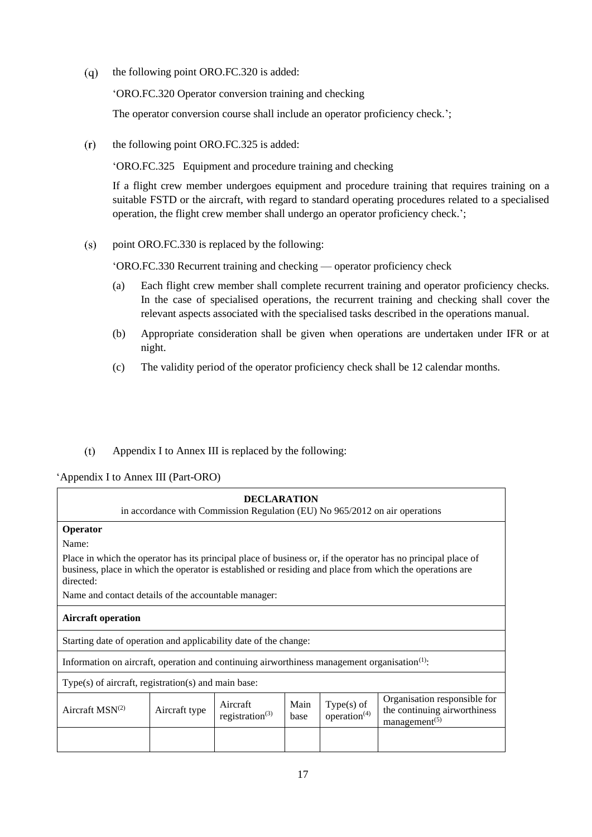$(q)$ the following point ORO.FC.320 is added:

'ORO.FC.320 Operator conversion training and checking

The operator conversion course shall include an operator proficiency check.';

 $(r)$ the following point ORO.FC.325 is added:

'ORO.FC.325 Equipment and procedure training and checking

If a flight crew member undergoes equipment and procedure training that requires training on a suitable FSTD or the aircraft, with regard to standard operating procedures related to a specialised operation, the flight crew member shall undergo an operator proficiency check.';

 $(s)$ point ORO.FC.330 is replaced by the following:

'ORO.FC.330 Recurrent training and checking — operator proficiency check

- (a) Each flight crew member shall complete recurrent training and operator proficiency checks. In the case of specialised operations, the recurrent training and checking shall cover the relevant aspects associated with the specialised tasks described in the operations manual.
- (b) Appropriate consideration shall be given when operations are undertaken under IFR or at night.
- (c) The validity period of the operator proficiency check shall be 12 calendar months.
- $(t)$ Appendix I to Annex III is replaced by the following:

### 'Appendix I to Annex III (Part-ORO)

| <b>DECLARATION</b><br>in accordance with Commission Regulation (EU) No 965/2012 on air operations                                                                                                                                      |  |  |  |  |  |  |  |
|----------------------------------------------------------------------------------------------------------------------------------------------------------------------------------------------------------------------------------------|--|--|--|--|--|--|--|
| Operator                                                                                                                                                                                                                               |  |  |  |  |  |  |  |
| Name:                                                                                                                                                                                                                                  |  |  |  |  |  |  |  |
| Place in which the operator has its principal place of business or, if the operator has no principal place of<br>business, place in which the operator is established or residing and place from which the operations are<br>directed: |  |  |  |  |  |  |  |
| Name and contact details of the accountable manager:                                                                                                                                                                                   |  |  |  |  |  |  |  |
| <b>Aircraft operation</b>                                                                                                                                                                                                              |  |  |  |  |  |  |  |
| Starting date of operation and applicability date of the change:                                                                                                                                                                       |  |  |  |  |  |  |  |
| Information on aircraft, operation and continuing airworthiness management organisation <sup>(1)</sup> :                                                                                                                               |  |  |  |  |  |  |  |
| $Type(s)$ of aircraft, registration(s) and main base:                                                                                                                                                                                  |  |  |  |  |  |  |  |
| Organisation responsible for<br>$Type(s)$ of<br>Aircraft<br>Main<br>Aircraft $MSN(2)$<br>Aircraft type<br>the continuing airworthiness<br>operation $(4)$<br>registration <sup>(3)</sup><br>base<br>management <sup>(5)</sup>          |  |  |  |  |  |  |  |
|                                                                                                                                                                                                                                        |  |  |  |  |  |  |  |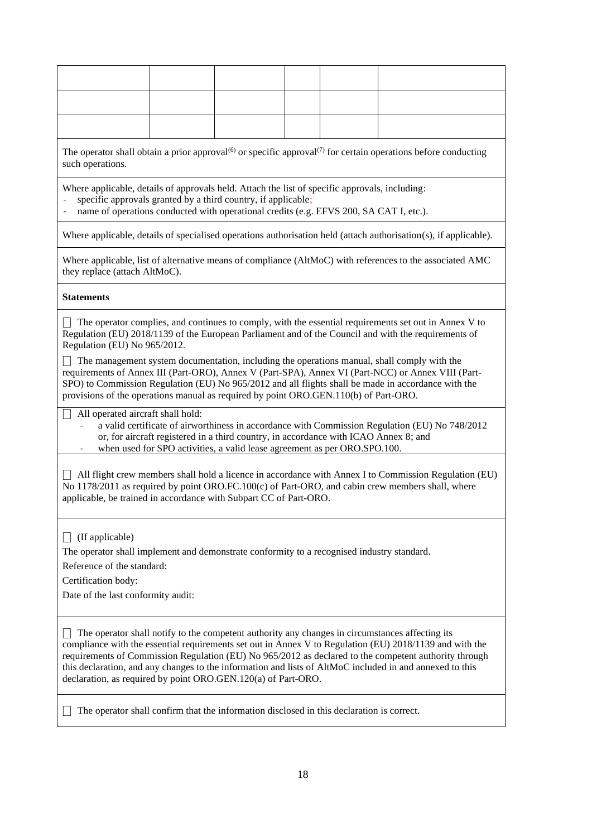| such operations.                                                                                                                                                                                                                                                                                                                                                                                                                                                                                 | The operator shall obtain a prior approval <sup>(6)</sup> or specific approval <sup>(7)</sup> for certain operations before conducting |  |  |  |                                                                                                                                                                                                                                                                                                                                                                                                                    |  |  |  |
|--------------------------------------------------------------------------------------------------------------------------------------------------------------------------------------------------------------------------------------------------------------------------------------------------------------------------------------------------------------------------------------------------------------------------------------------------------------------------------------------------|----------------------------------------------------------------------------------------------------------------------------------------|--|--|--|--------------------------------------------------------------------------------------------------------------------------------------------------------------------------------------------------------------------------------------------------------------------------------------------------------------------------------------------------------------------------------------------------------------------|--|--|--|
| Where applicable, details of approvals held. Attach the list of specific approvals, including:<br>specific approvals granted by a third country, if applicable;<br>name of operations conducted with operational credits (e.g. EFVS 200, SA CAT I, etc.).                                                                                                                                                                                                                                        |                                                                                                                                        |  |  |  |                                                                                                                                                                                                                                                                                                                                                                                                                    |  |  |  |
|                                                                                                                                                                                                                                                                                                                                                                                                                                                                                                  |                                                                                                                                        |  |  |  | Where applicable, details of specialised operations authorisation held (attach authorisation(s), if applicable).                                                                                                                                                                                                                                                                                                   |  |  |  |
| they replace (attach AltMoC).                                                                                                                                                                                                                                                                                                                                                                                                                                                                    |                                                                                                                                        |  |  |  | Where applicable, list of alternative means of compliance (AltMoC) with references to the associated AMC                                                                                                                                                                                                                                                                                                           |  |  |  |
| <b>Statements</b>                                                                                                                                                                                                                                                                                                                                                                                                                                                                                |                                                                                                                                        |  |  |  |                                                                                                                                                                                                                                                                                                                                                                                                                    |  |  |  |
| Regulation (EU) No 965/2012.                                                                                                                                                                                                                                                                                                                                                                                                                                                                     |                                                                                                                                        |  |  |  | The operator complies, and continues to comply, with the essential requirements set out in Annex V to<br>Regulation (EU) 2018/1139 of the European Parliament and of the Council and with the requirements of<br>The management system documentation, including the operations manual, shall comply with the<br>requirements of Annex III (Part-ORO), Annex V (Part-SPA), Annex VI (Part-NCC) or Annex VIII (Part- |  |  |  |
| provisions of the operations manual as required by point ORO.GEN.110(b) of Part-ORO.                                                                                                                                                                                                                                                                                                                                                                                                             |                                                                                                                                        |  |  |  | SPO) to Commission Regulation (EU) No 965/2012 and all flights shall be made in accordance with the                                                                                                                                                                                                                                                                                                                |  |  |  |
| All operated aircraft shall hold:<br>a valid certificate of airworthiness in accordance with Commission Regulation (EU) No 748/2012<br>or, for aircraft registered in a third country, in accordance with ICAO Annex 8; and<br>when used for SPO activities, a valid lease agreement as per ORO.SPO.100.                                                                                                                                                                                         |                                                                                                                                        |  |  |  |                                                                                                                                                                                                                                                                                                                                                                                                                    |  |  |  |
| All flight crew members shall hold a licence in accordance with Annex I to Commission Regulation (EU)<br>No 1178/2011 as required by point ORO.FC.100(c) of Part-ORO, and cabin crew members shall, where<br>applicable, be trained in accordance with Subpart CC of Part-ORO.                                                                                                                                                                                                                   |                                                                                                                                        |  |  |  |                                                                                                                                                                                                                                                                                                                                                                                                                    |  |  |  |
| (If applicable)<br>The operator shall implement and demonstrate conformity to a recognised industry standard.<br>Reference of the standard:<br>Certification body:<br>Date of the last conformity audit:                                                                                                                                                                                                                                                                                         |                                                                                                                                        |  |  |  |                                                                                                                                                                                                                                                                                                                                                                                                                    |  |  |  |
| The operator shall notify to the competent authority any changes in circumstances affecting its<br>compliance with the essential requirements set out in Annex V to Regulation (EU) 2018/1139 and with the<br>requirements of Commission Regulation (EU) No 965/2012 as declared to the competent authority through<br>this declaration, and any changes to the information and lists of AltMoC included in and annexed to this<br>declaration, as required by point ORO.GEN.120(a) of Part-ORO. |                                                                                                                                        |  |  |  |                                                                                                                                                                                                                                                                                                                                                                                                                    |  |  |  |
| The operator shall confirm that the information disclosed in this declaration is correct.                                                                                                                                                                                                                                                                                                                                                                                                        |                                                                                                                                        |  |  |  |                                                                                                                                                                                                                                                                                                                                                                                                                    |  |  |  |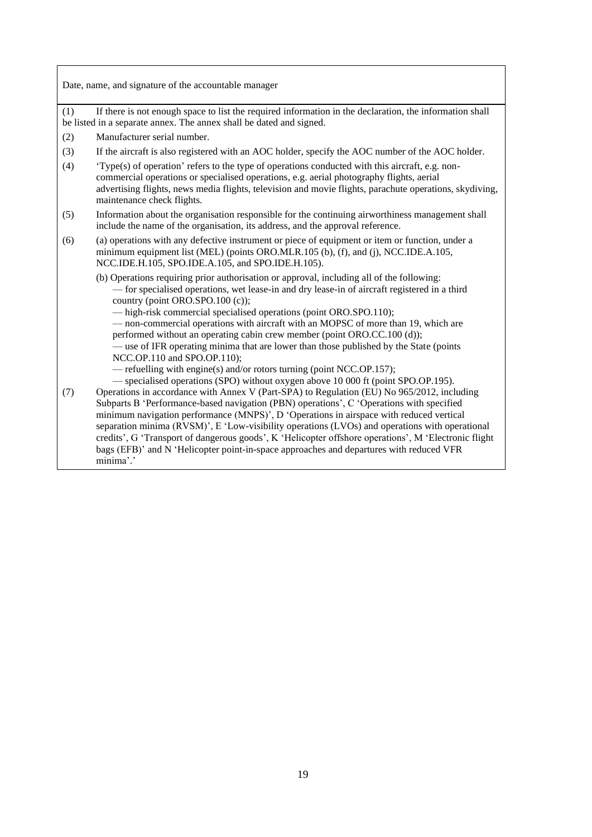|     | Date, name, and signature of the accountable manager                                                                                                                                                                                                                                                                                                                                                                                                                                                                                                                                                |
|-----|-----------------------------------------------------------------------------------------------------------------------------------------------------------------------------------------------------------------------------------------------------------------------------------------------------------------------------------------------------------------------------------------------------------------------------------------------------------------------------------------------------------------------------------------------------------------------------------------------------|
| (1) | If there is not enough space to list the required information in the declaration, the information shall<br>be listed in a separate annex. The annex shall be dated and signed.                                                                                                                                                                                                                                                                                                                                                                                                                      |
| (2) | Manufacturer serial number.                                                                                                                                                                                                                                                                                                                                                                                                                                                                                                                                                                         |
| (3) | If the aircraft is also registered with an AOC holder, specify the AOC number of the AOC holder.                                                                                                                                                                                                                                                                                                                                                                                                                                                                                                    |
| (4) | 'Type(s) of operation' refers to the type of operations conducted with this aircraft, e.g. non-<br>commercial operations or specialised operations, e.g. aerial photography flights, aerial<br>advertising flights, news media flights, television and movie flights, parachute operations, skydiving,<br>maintenance check flights.                                                                                                                                                                                                                                                                |
| (5) | Information about the organisation responsible for the continuing airworthiness management shall<br>include the name of the organisation, its address, and the approval reference.                                                                                                                                                                                                                                                                                                                                                                                                                  |
| (6) | (a) operations with any defective instrument or piece of equipment or item or function, under a<br>minimum equipment list (MEL) (points ORO.MLR.105 (b), (f), and (j), NCC.IDE.A.105,<br>NCC.IDE.H.105, SPO.IDE.A.105, and SPO.IDE.H.105).                                                                                                                                                                                                                                                                                                                                                          |
|     | (b) Operations requiring prior authorisation or approval, including all of the following:<br>- for specialised operations, wet lease-in and dry lease-in of aircraft registered in a third<br>country (point ORO.SPO.100 (c));<br>- high-risk commercial specialised operations (point ORO.SPO.110);<br>- non-commercial operations with aircraft with an MOPSC of more than 19, which are<br>performed without an operating cabin crew member (point ORO.CC.100 (d));<br>— use of IFR operating minima that are lower than those published by the State (points<br>NCC.OP.110 and SPO.OP.110);     |
|     | - refuelling with engine(s) and/or rotors turning (point NCC.OP.157);<br>- specialised operations (SPO) without oxygen above 10 000 ft (point SPO.OP.195).                                                                                                                                                                                                                                                                                                                                                                                                                                          |
| (7) | Operations in accordance with Annex V (Part-SPA) to Regulation (EU) No 965/2012, including<br>Subparts B 'Performance-based navigation (PBN) operations', C 'Operations with specified<br>minimum navigation performance (MNPS)', D 'Operations in airspace with reduced vertical<br>separation minima (RVSM)', E 'Low-visibility operations (LVOs) and operations with operational<br>credits', G 'Transport of dangerous goods', K 'Helicopter offshore operations', M 'Electronic flight<br>bags (EFB)' and N 'Helicopter point-in-space approaches and departures with reduced VFR<br>minima'.' |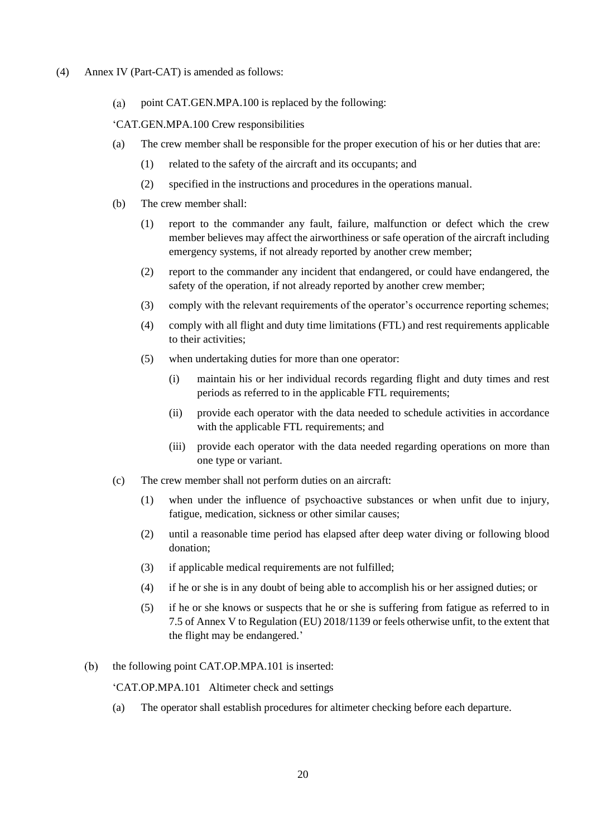- (4) Annex IV (Part-CAT) is amended as follows:
	- $(a)$ point CAT.GEN.MPA.100 is replaced by the following:

'CAT.GEN.MPA.100 Crew responsibilities

- (a) The crew member shall be responsible for the proper execution of his or her duties that are:
	- (1) related to the safety of the aircraft and its occupants; and
	- (2) specified in the instructions and procedures in the operations manual.
- (b) The crew member shall:
	- (1) report to the commander any fault, failure, malfunction or defect which the crew member believes may affect the airworthiness or safe operation of the aircraft including emergency systems, if not already reported by another crew member;
	- (2) report to the commander any incident that endangered, or could have endangered, the safety of the operation, if not already reported by another crew member;
	- (3) comply with the relevant requirements of the operator's occurrence reporting schemes;
	- (4) comply with all flight and duty time limitations (FTL) and rest requirements applicable to their activities;
	- (5) when undertaking duties for more than one operator:
		- (i) maintain his or her individual records regarding flight and duty times and rest periods as referred to in the applicable FTL requirements;
		- (ii) provide each operator with the data needed to schedule activities in accordance with the applicable FTL requirements; and
		- (iii) provide each operator with the data needed regarding operations on more than one type or variant.
- (c) The crew member shall not perform duties on an aircraft:
	- (1) when under the influence of psychoactive substances or when unfit due to injury, fatigue, medication, sickness or other similar causes;
	- (2) until a reasonable time period has elapsed after deep water diving or following blood donation;
	- (3) if applicable medical requirements are not fulfilled;
	- (4) if he or she is in any doubt of being able to accomplish his or her assigned duties; or
	- (5) if he or she knows or suspects that he or she is suffering from fatigue as referred to in 7.5 of Annex V to Regulation (EU) 2018/1139 or feels otherwise unfit, to the extent that the flight may be endangered.'
- the following point CAT.OP.MPA.101 is inserted:  $(b)$

'CAT.OP.MPA.101 Altimeter check and settings

(a) The operator shall establish procedures for altimeter checking before each departure.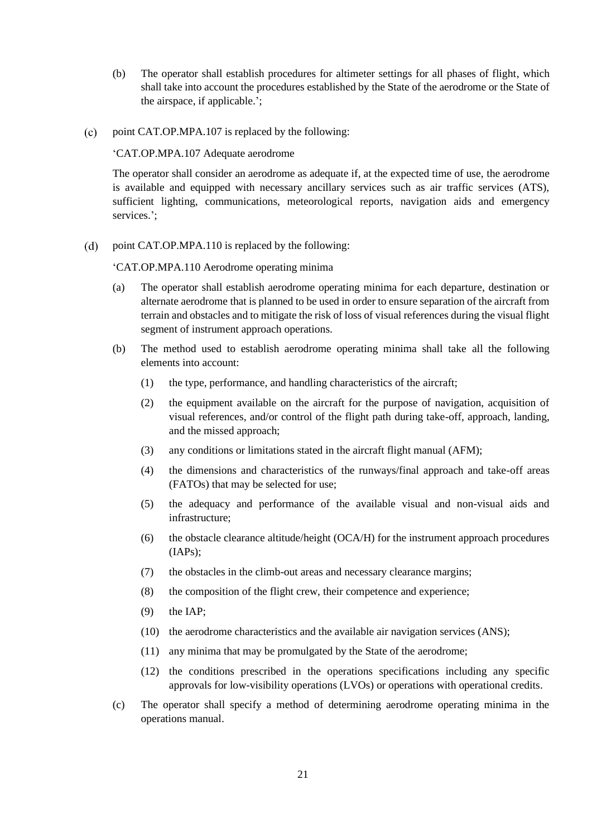- (b) The operator shall establish procedures for altimeter settings for all phases of flight, which shall take into account the procedures established by the State of the aerodrome or the State of the airspace, if applicable.';
- point CAT.OP.MPA.107 is replaced by the following:  $(c)$

'CAT.OP.MPA.107 Adequate aerodrome

The operator shall consider an aerodrome as adequate if, at the expected time of use, the aerodrome is available and equipped with necessary ancillary services such as air traffic services (ATS), sufficient lighting, communications, meteorological reports, navigation aids and emergency services.';

 $(d)$ point CAT.OP.MPA.110 is replaced by the following:

'CAT.OP.MPA.110 Aerodrome operating minima

- (a) The operator shall establish aerodrome operating minima for each departure, destination or alternate aerodrome that is planned to be used in order to ensure separation of the aircraft from terrain and obstacles and to mitigate the risk of loss of visual references during the visual flight segment of instrument approach operations.
- (b) The method used to establish aerodrome operating minima shall take all the following elements into account:
	- (1) the type, performance, and handling characteristics of the aircraft;
	- (2) the equipment available on the aircraft for the purpose of navigation, acquisition of visual references, and/or control of the flight path during take-off, approach, landing, and the missed approach;
	- (3) any conditions or limitations stated in the aircraft flight manual (AFM);
	- (4) the dimensions and characteristics of the runways/final approach and take-off areas (FATOs) that may be selected for use;
	- (5) the adequacy and performance of the available visual and non-visual aids and infrastructure;
	- (6) the obstacle clearance altitude/height (OCA/H) for the instrument approach procedures (IAPs);
	- (7) the obstacles in the climb-out areas and necessary clearance margins;
	- (8) the composition of the flight crew, their competence and experience;
	- (9) the IAP;
	- (10) the aerodrome characteristics and the available air navigation services (ANS);
	- (11) any minima that may be promulgated by the State of the aerodrome;
	- (12) the conditions prescribed in the operations specifications including any specific approvals for low-visibility operations (LVOs) or operations with operational credits.
- (c) The operator shall specify a method of determining aerodrome operating minima in the operations manual.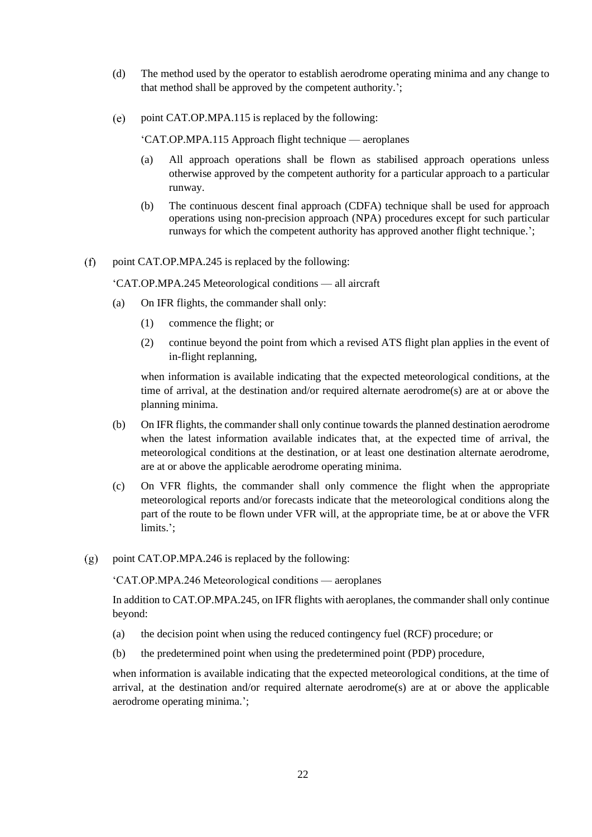- (d) The method used by the operator to establish aerodrome operating minima and any change to that method shall be approved by the competent authority.';
- point CAT.OP.MPA.115 is replaced by the following:  $(e)$

'CAT.OP.MPA.115 Approach flight technique — aeroplanes

- (a) All approach operations shall be flown as stabilised approach operations unless otherwise approved by the competent authority for a particular approach to a particular runway.
- (b) The continuous descent final approach (CDFA) technique shall be used for approach operations using non-precision approach (NPA) procedures except for such particular runways for which the competent authority has approved another flight technique.';
- $(f)$ point CAT.OP.MPA.245 is replaced by the following:

'CAT.OP.MPA.245 Meteorological conditions — all aircraft

- (a) On IFR flights, the commander shall only:
	- (1) commence the flight; or
	- (2) continue beyond the point from which a revised ATS flight plan applies in the event of in-flight replanning,

when information is available indicating that the expected meteorological conditions, at the time of arrival, at the destination and/or required alternate aerodrome(s) are at or above the planning minima.

- (b) On IFR flights, the commander shall only continue towards the planned destination aerodrome when the latest information available indicates that, at the expected time of arrival, the meteorological conditions at the destination, or at least one destination alternate aerodrome, are at or above the applicable aerodrome operating minima.
- (c) On VFR flights, the commander shall only commence the flight when the appropriate meteorological reports and/or forecasts indicate that the meteorological conditions along the part of the route to be flown under VFR will, at the appropriate time, be at or above the VFR limits.';
- $(g)$ point CAT.OP.MPA.246 is replaced by the following:

'CAT.OP.MPA.246 Meteorological conditions — aeroplanes

In addition to CAT.OP.MPA.245, on IFR flights with aeroplanes, the commander shall only continue beyond:

- (a) the decision point when using the reduced contingency fuel (RCF) procedure; or
- (b) the predetermined point when using the predetermined point (PDP) procedure,

when information is available indicating that the expected meteorological conditions, at the time of arrival, at the destination and/or required alternate aerodrome(s) are at or above the applicable aerodrome operating minima.';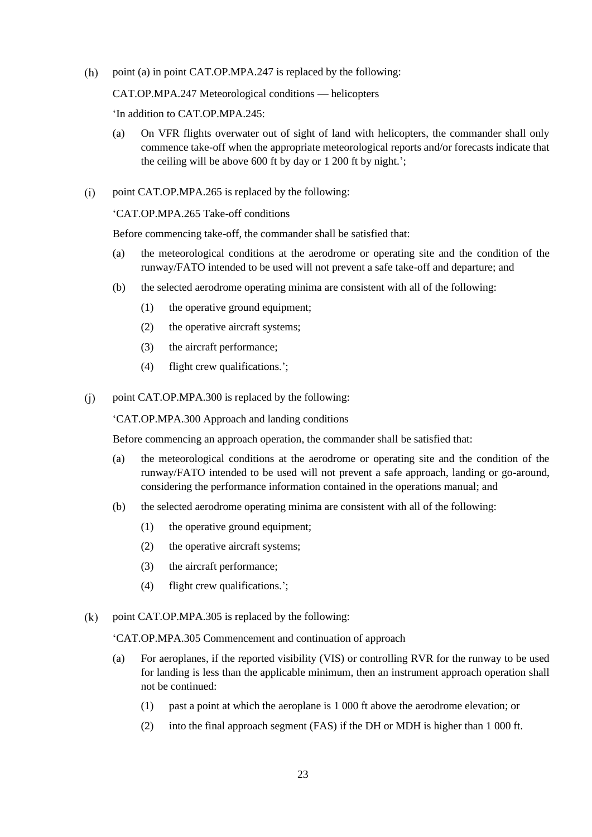$(h)$ point (a) in point CAT.OP.MPA.247 is replaced by the following:

CAT.OP.MPA.247 Meteorological conditions — helicopters

'In addition to CAT.OP.MPA.245:

- (a) On VFR flights overwater out of sight of land with helicopters, the commander shall only commence take-off when the appropriate meteorological reports and/or forecasts indicate that the ceiling will be above 600 ft by day or 1 200 ft by night.';
- $(i)$ point CAT.OP.MPA.265 is replaced by the following:

'CAT.OP.MPA.265 Take-off conditions

Before commencing take-off, the commander shall be satisfied that:

- (a) the meteorological conditions at the aerodrome or operating site and the condition of the runway/FATO intended to be used will not prevent a safe take-off and departure; and
- (b) the selected aerodrome operating minima are consistent with all of the following:
	- (1) the operative ground equipment;
	- (2) the operative aircraft systems;
	- (3) the aircraft performance;
	- (4) flight crew qualifications.';
- point CAT.OP.MPA.300 is replaced by the following:  $(i)$

'CAT.OP.MPA.300 Approach and landing conditions

Before commencing an approach operation, the commander shall be satisfied that:

- (a) the meteorological conditions at the aerodrome or operating site and the condition of the runway/FATO intended to be used will not prevent a safe approach, landing or go-around, considering the performance information contained in the operations manual; and
- (b) the selected aerodrome operating minima are consistent with all of the following:
	- (1) the operative ground equipment;
	- (2) the operative aircraft systems;
	- (3) the aircraft performance;
	- (4) flight crew qualifications.';
- $(k)$ point CAT.OP.MPA.305 is replaced by the following:

### 'CAT.OP.MPA.305 Commencement and continuation of approach

- (a) For aeroplanes, if the reported visibility (VIS) or controlling RVR for the runway to be used for landing is less than the applicable minimum, then an instrument approach operation shall not be continued:
	- (1) past a point at which the aeroplane is 1 000 ft above the aerodrome elevation; or
	- (2) into the final approach segment (FAS) if the DH or MDH is higher than 1 000 ft.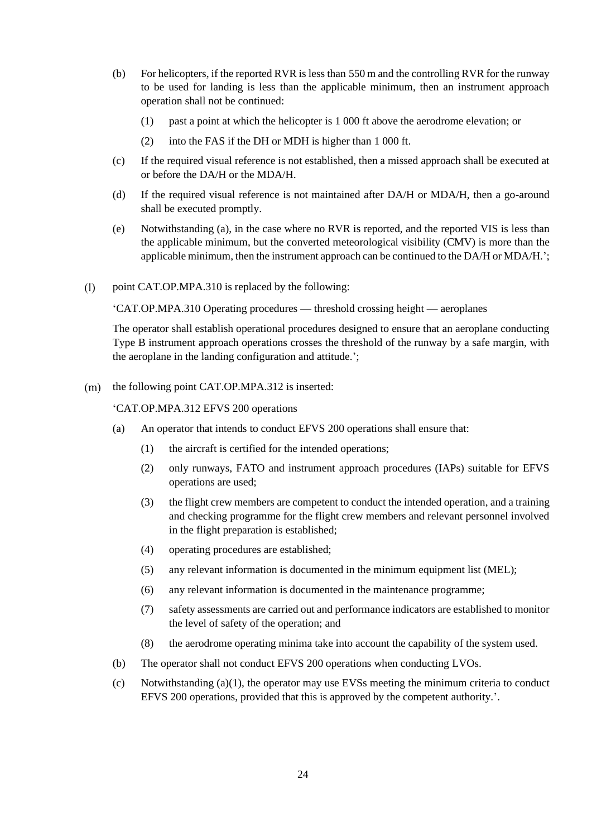- (b) For helicopters, if the reported RVR is less than 550 m and the controlling RVR for the runway to be used for landing is less than the applicable minimum, then an instrument approach operation shall not be continued:
	- (1) past a point at which the helicopter is 1 000 ft above the aerodrome elevation; or
	- (2) into the FAS if the DH or MDH is higher than 1 000 ft.
- (c) If the required visual reference is not established, then a missed approach shall be executed at or before the DA/H or the MDA/H.
- (d) If the required visual reference is not maintained after DA/H or MDA/H, then a go-around shall be executed promptly.
- (e) Notwithstanding (a), in the case where no RVR is reported, and the reported VIS is less than the applicable minimum, but the converted meteorological visibility (CMV) is more than the applicable minimum, then the instrument approach can be continued to the DA/H or MDA/H.';
- $(1)$ point CAT.OP.MPA.310 is replaced by the following:

'CAT.OP.MPA.310 Operating procedures — threshold crossing height — aeroplanes

The operator shall establish operational procedures designed to ensure that an aeroplane conducting Type B instrument approach operations crosses the threshold of the runway by a safe margin, with the aeroplane in the landing configuration and attitude.';

 $(m)$  the following point CAT.OP.MPA.312 is inserted:

'CAT.OP.MPA.312 EFVS 200 operations

- (a) An operator that intends to conduct EFVS 200 operations shall ensure that:
	- (1) the aircraft is certified for the intended operations;
	- (2) only runways, FATO and instrument approach procedures (IAPs) suitable for EFVS operations are used;
	- (3) the flight crew members are competent to conduct the intended operation, and a training and checking programme for the flight crew members and relevant personnel involved in the flight preparation is established;
	- (4) operating procedures are established;
	- (5) any relevant information is documented in the minimum equipment list (MEL);
	- (6) any relevant information is documented in the maintenance programme;
	- (7) safety assessments are carried out and performance indicators are established to monitor the level of safety of the operation; and
	- (8) the aerodrome operating minima take into account the capability of the system used.
- (b) The operator shall not conduct EFVS 200 operations when conducting LVOs.
- (c) Notwithstanding (a)(1), the operator may use EVSs meeting the minimum criteria to conduct EFVS 200 operations, provided that this is approved by the competent authority.'.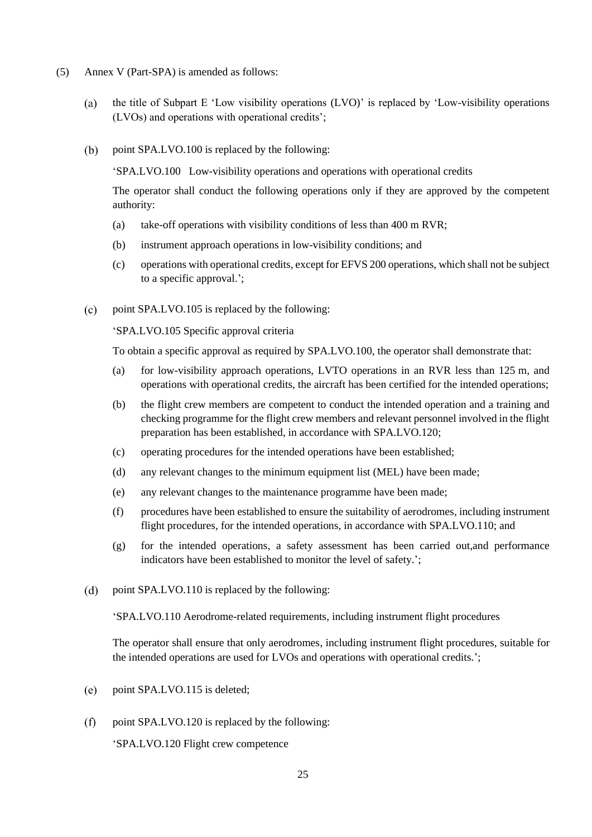- (5) Annex V (Part-SPA) is amended as follows:
	- the title of Subpart E 'Low visibility operations (LVO)' is replaced by 'Low-visibility operations  $(a)$ (LVOs) and operations with operational credits';
	- point SPA.LVO.100 is replaced by the following:  $(b)$

'SPA.LVO.100 Low-visibility operations and operations with operational credits

The operator shall conduct the following operations only if they are approved by the competent authority:

- (a) take-off operations with visibility conditions of less than 400 m RVR;
- (b) instrument approach operations in low-visibility conditions; and
- (c) operations with operational credits, except for EFVS 200 operations, which shall not be subject to a specific approval.';
- $(c)$ point SPA.LVO.105 is replaced by the following:

'SPA.LVO.105 Specific approval criteria

To obtain a specific approval as required by SPA.LVO.100, the operator shall demonstrate that:

- (a) for low-visibility approach operations, LVTO operations in an RVR less than 125 m, and operations with operational credits, the aircraft has been certified for the intended operations;
- (b) the flight crew members are competent to conduct the intended operation and a training and checking programme for the flight crew members and relevant personnel involved in the flight preparation has been established, in accordance with SPA.LVO.120;
- (c) operating procedures for the intended operations have been established;
- (d) any relevant changes to the minimum equipment list (MEL) have been made;
- (e) any relevant changes to the maintenance programme have been made;
- (f) procedures have been established to ensure the suitability of aerodromes, including instrument flight procedures, for the intended operations, in accordance with SPA.LVO.110; and
- (g) for the intended operations, a safety assessment has been carried out,and performance indicators have been established to monitor the level of safety.';
- $(d)$ point SPA.LVO.110 is replaced by the following:

'SPA.LVO.110 Aerodrome-related requirements, including instrument flight procedures

The operator shall ensure that only aerodromes, including instrument flight procedures, suitable for the intended operations are used for LVOs and operations with operational credits.';

- point SPA.LVO.115 is deleted;  $(e)$
- $(f)$ point SPA.LVO.120 is replaced by the following:

'SPA.LVO.120 Flight crew competence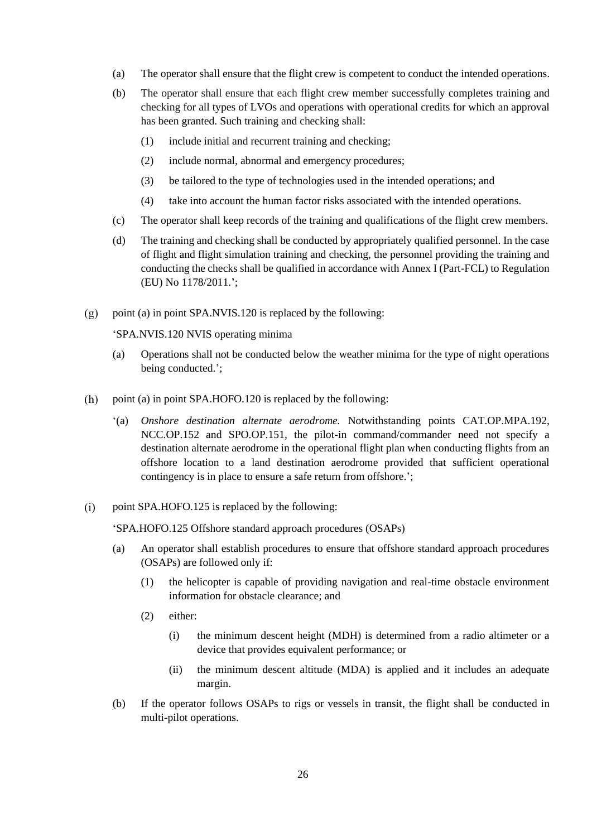- (a) The operator shall ensure that the flight crew is competent to conduct the intended operations.
- (b) The operator shall ensure that each flight crew member successfully completes training and checking for all types of LVOs and operations with operational credits for which an approval has been granted. Such training and checking shall:
	- (1) include initial and recurrent training and checking;
	- (2) include normal, abnormal and emergency procedures;
	- (3) be tailored to the type of technologies used in the intended operations; and
	- (4) take into account the human factor risks associated with the intended operations.
- (c) The operator shall keep records of the training and qualifications of the flight crew members.
- (d) The training and checking shall be conducted by appropriately qualified personnel. In the case of flight and flight simulation training and checking, the personnel providing the training and conducting the checks shall be qualified in accordance with Annex I (Part-FCL) to Regulation (EU) No 1178/2011.';
- point (a) in point SPA.NVIS.120 is replaced by the following:  $(g)$

'SPA.NVIS.120 NVIS operating minima

- (a) Operations shall not be conducted below the weather minima for the type of night operations being conducted.';
- $(h)$ point (a) in point SPA.HOFO.120 is replaced by the following:
	- '(a) *Onshore destination alternate aerodrome.* Notwithstanding points CAT.OP.MPA.192, NCC.OP.152 and SPO.OP.151, the pilot-in command/commander need not specify a destination alternate aerodrome in the operational flight plan when conducting flights from an offshore location to a land destination aerodrome provided that sufficient operational contingency is in place to ensure a safe return from offshore.';
- $(i)$ point SPA.HOFO.125 is replaced by the following:

'SPA.HOFO.125 Offshore standard approach procedures (OSAPs)

- (a) An operator shall establish procedures to ensure that offshore standard approach procedures (OSAPs) are followed only if:
	- (1) the helicopter is capable of providing navigation and real-time obstacle environment information for obstacle clearance; and
	- (2) either:
		- (i) the minimum descent height (MDH) is determined from a radio altimeter or a device that provides equivalent performance; or
		- (ii) the minimum descent altitude (MDA) is applied and it includes an adequate margin.
- (b) If the operator follows OSAPs to rigs or vessels in transit, the flight shall be conducted in multi-pilot operations.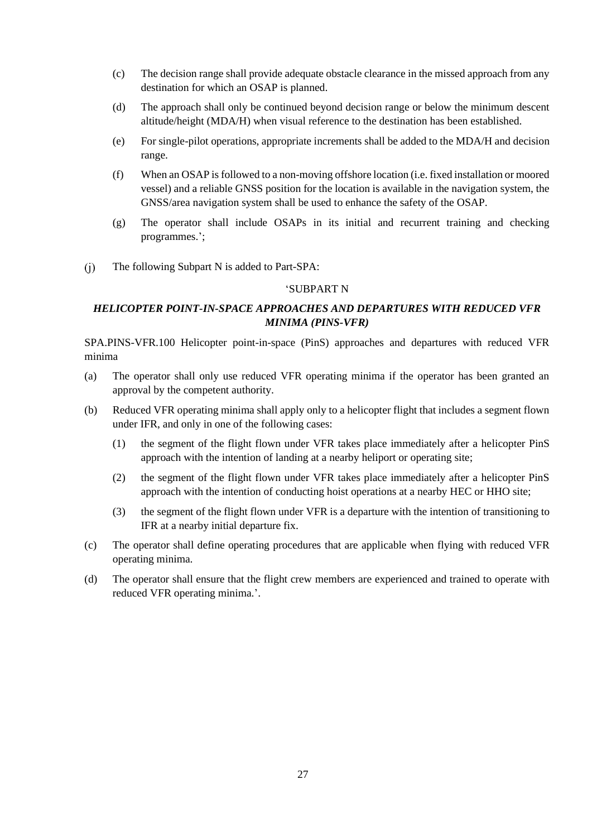- (c) The decision range shall provide adequate obstacle clearance in the missed approach from any destination for which an OSAP is planned.
- (d) The approach shall only be continued beyond decision range or below the minimum descent altitude/height (MDA/H) when visual reference to the destination has been established.
- (e) For single-pilot operations, appropriate increments shall be added to the MDA/H and decision range.
- (f) When an OSAP is followed to a non-moving offshore location (i.e. fixed installation or moored vessel) and a reliable GNSS position for the location is available in the navigation system, the GNSS/area navigation system shall be used to enhance the safety of the OSAP.
- (g) The operator shall include OSAPs in its initial and recurrent training and checking programmes.';
- $(i)$ The following Subpart N is added to Part-SPA:

### 'SUBPART N

# *HELICOPTER POINT-IN-SPACE APPROACHES AND DEPARTURES WITH REDUCED VFR MINIMA (PINS-VFR)*

SPA.PINS-VFR.100 Helicopter point-in-space (PinS) approaches and departures with reduced VFR minima

- (a) The operator shall only use reduced VFR operating minima if the operator has been granted an approval by the competent authority.
- (b) Reduced VFR operating minima shall apply only to a helicopter flight that includes a segment flown under IFR, and only in one of the following cases:
	- (1) the segment of the flight flown under VFR takes place immediately after a helicopter PinS approach with the intention of landing at a nearby heliport or operating site;
	- (2) the segment of the flight flown under VFR takes place immediately after a helicopter PinS approach with the intention of conducting hoist operations at a nearby HEC or HHO site;
	- (3) the segment of the flight flown under VFR is a departure with the intention of transitioning to IFR at a nearby initial departure fix.
- (c) The operator shall define operating procedures that are applicable when flying with reduced VFR operating minima.
- (d) The operator shall ensure that the flight crew members are experienced and trained to operate with reduced VFR operating minima.'.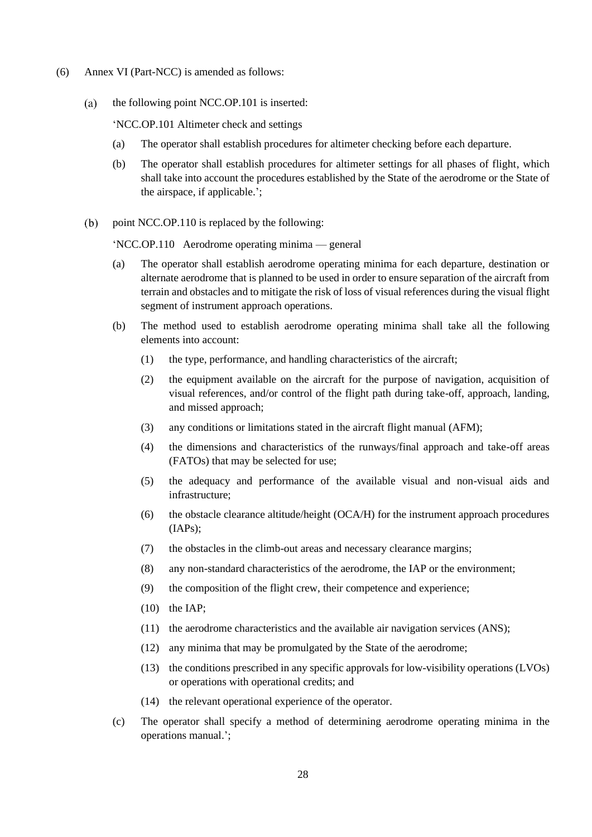- (6) Annex VI (Part-NCC) is amended as follows:
	- $(a)$ the following point NCC.OP.101 is inserted:

'NCC.OP.101 Altimeter check and settings

- (a) The operator shall establish procedures for altimeter checking before each departure.
- (b) The operator shall establish procedures for altimeter settings for all phases of flight, which shall take into account the procedures established by the State of the aerodrome or the State of the airspace, if applicable.';
- $(b)$ point NCC.OP.110 is replaced by the following:

'NCC.OP.110 Aerodrome operating minima — general

- (a) The operator shall establish aerodrome operating minima for each departure, destination or alternate aerodrome that is planned to be used in order to ensure separation of the aircraft from terrain and obstacles and to mitigate the risk of loss of visual references during the visual flight segment of instrument approach operations.
- (b) The method used to establish aerodrome operating minima shall take all the following elements into account:
	- (1) the type, performance, and handling characteristics of the aircraft;
	- (2) the equipment available on the aircraft for the purpose of navigation, acquisition of visual references, and/or control of the flight path during take-off, approach, landing, and missed approach;
	- (3) any conditions or limitations stated in the aircraft flight manual (AFM);
	- (4) the dimensions and characteristics of the runways/final approach and take-off areas (FATOs) that may be selected for use;
	- (5) the adequacy and performance of the available visual and non-visual aids and infrastructure;
	- (6) the obstacle clearance altitude/height (OCA/H) for the instrument approach procedures (IAPs);
	- (7) the obstacles in the climb-out areas and necessary clearance margins;
	- (8) any non-standard characteristics of the aerodrome, the IAP or the environment;
	- (9) the composition of the flight crew, their competence and experience;
	- (10) the IAP;
	- (11) the aerodrome characteristics and the available air navigation services (ANS);
	- (12) any minima that may be promulgated by the State of the aerodrome;
	- (13) the conditions prescribed in any specific approvals for low-visibility operations (LVOs) or operations with operational credits; and
	- (14) the relevant operational experience of the operator.
- (c) The operator shall specify a method of determining aerodrome operating minima in the operations manual.';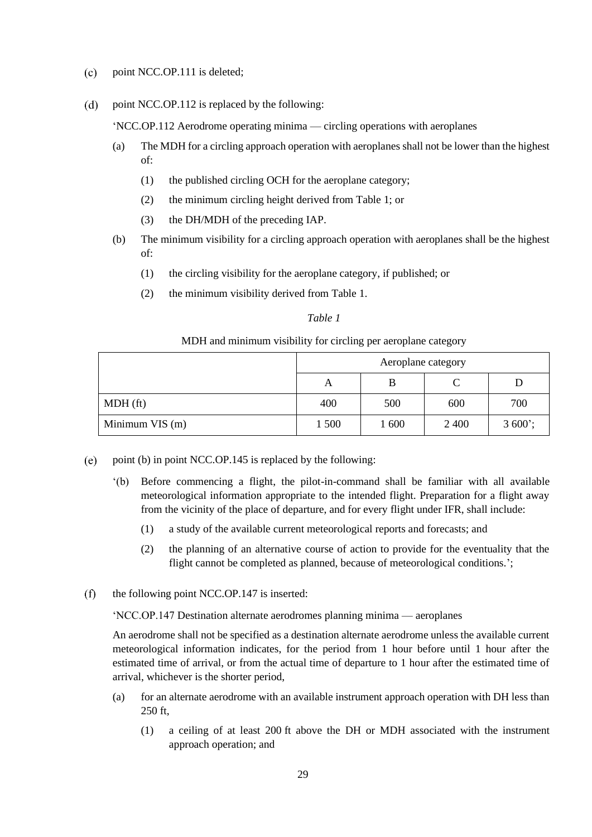- $(c)$ point NCC.OP.111 is deleted;
- $(d)$ point NCC.OP.112 is replaced by the following:

'NCC.OP.112 Aerodrome operating minima — circling operations with aeroplanes

- (a) The MDH for a circling approach operation with aeroplanes shall not be lower than the highest of:
	- (1) the published circling OCH for the aeroplane category;
	- (2) the minimum circling height derived from Table 1; or
	- (3) the DH/MDH of the preceding IAP.
- (b) The minimum visibility for a circling approach operation with aeroplanes shall be the highest of:
	- (1) the circling visibility for the aeroplane category, if published; or
	- (2) the minimum visibility derived from Table 1.

### *Table 1*

#### MDH and minimum visibility for circling per aeroplane category

|                 | Aeroplane category |       |      |          |  |
|-----------------|--------------------|-------|------|----------|--|
|                 | А                  |       |      |          |  |
| $MDH$ (ft)      | 400                | 500   | 600  | 700      |  |
| Minimum VIS (m) | 1 500              | 1 600 | 2400 | $3600$ ; |  |

- $(e)$ point (b) in point NCC.OP.145 is replaced by the following:
	- '(b) Before commencing a flight, the pilot-in-command shall be familiar with all available meteorological information appropriate to the intended flight. Preparation for a flight away from the vicinity of the place of departure, and for every flight under IFR, shall include:
		- (1) a study of the available current meteorological reports and forecasts; and
		- (2) the planning of an alternative course of action to provide for the eventuality that the flight cannot be completed as planned, because of meteorological conditions.';
- $(f)$ the following point NCC.OP.147 is inserted:

'NCC.OP.147 Destination alternate aerodromes planning minima — aeroplanes

An aerodrome shall not be specified as a destination alternate aerodrome unless the available current meteorological information indicates, for the period from 1 hour before until 1 hour after the estimated time of arrival, or from the actual time of departure to 1 hour after the estimated time of arrival, whichever is the shorter period,

- (a) for an alternate aerodrome with an available instrument approach operation with DH less than 250 ft,
	- (1) a ceiling of at least 200 ft above the DH or MDH associated with the instrument approach operation; and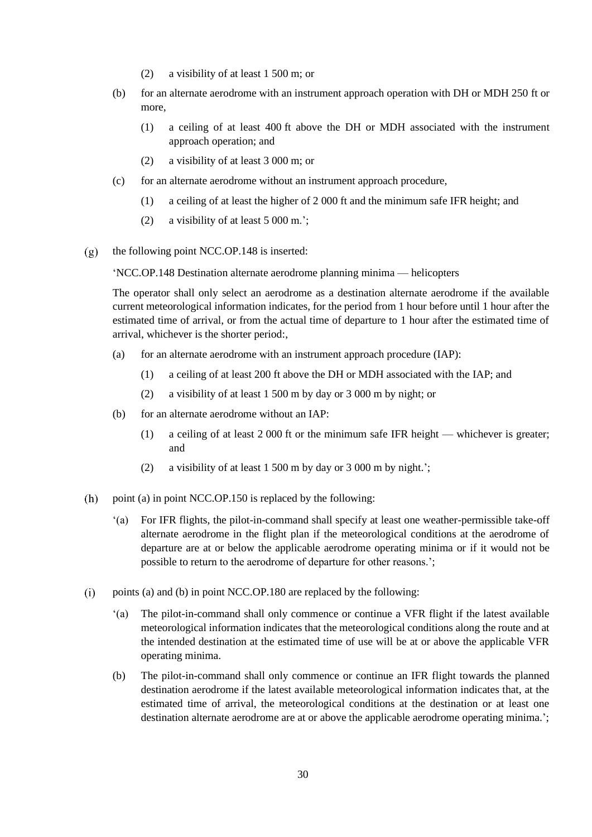- (2) a visibility of at least 1 500 m; or
- (b) for an alternate aerodrome with an instrument approach operation with DH or MDH 250 ft or more,
	- (1) a ceiling of at least 400 ft above the DH or MDH associated with the instrument approach operation; and
	- (2) a visibility of at least 3 000 m; or
- (c) for an alternate aerodrome without an instrument approach procedure,
	- (1) a ceiling of at least the higher of 2 000 ft and the minimum safe IFR height; and
	- (2) a visibility of at least 5 000 m.';
- the following point NCC.OP.148 is inserted:  $(g)$

'NCC.OP.148 Destination alternate aerodrome planning minima — helicopters

The operator shall only select an aerodrome as a destination alternate aerodrome if the available current meteorological information indicates, for the period from 1 hour before until 1 hour after the estimated time of arrival, or from the actual time of departure to 1 hour after the estimated time of arrival, whichever is the shorter period:,

- (a) for an alternate aerodrome with an instrument approach procedure (IAP):
	- (1) a ceiling of at least 200 ft above the DH or MDH associated with the IAP; and
	- (2) a visibility of at least 1 500 m by day or 3 000 m by night; or
- (b) for an alternate aerodrome without an IAP:
	- (1) a ceiling of at least 2 000 ft or the minimum safe IFR height whichever is greater; and
	- (2) a visibility of at least 1 500 m by day or 3 000 m by night.';
- $(h)$ point (a) in point NCC.OP.150 is replaced by the following:
	- '(a) For IFR flights, the pilot-in-command shall specify at least one weather-permissible take-off alternate aerodrome in the flight plan if the meteorological conditions at the aerodrome of departure are at or below the applicable aerodrome operating minima or if it would not be possible to return to the aerodrome of departure for other reasons.';
- points (a) and (b) in point NCC.OP.180 are replaced by the following:  $(i)$ 
	- '(a) The pilot-in-command shall only commence or continue a VFR flight if the latest available meteorological information indicates that the meteorological conditions along the route and at the intended destination at the estimated time of use will be at or above the applicable VFR operating minima.
	- (b) The pilot-in-command shall only commence or continue an IFR flight towards the planned destination aerodrome if the latest available meteorological information indicates that, at the estimated time of arrival, the meteorological conditions at the destination or at least one destination alternate aerodrome are at or above the applicable aerodrome operating minima.';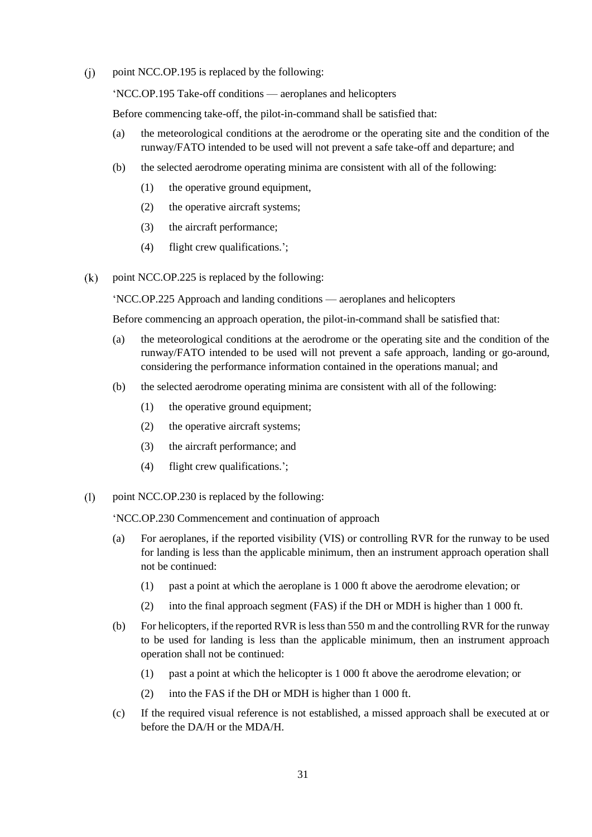$(i)$ point NCC.OP.195 is replaced by the following:

'NCC.OP.195 Take-off conditions — aeroplanes and helicopters

Before commencing take-off, the pilot-in-command shall be satisfied that:

- (a) the meteorological conditions at the aerodrome or the operating site and the condition of the runway/FATO intended to be used will not prevent a safe take-off and departure; and
- (b) the selected aerodrome operating minima are consistent with all of the following:
	- (1) the operative ground equipment,
	- (2) the operative aircraft systems;
	- (3) the aircraft performance;
	- (4) flight crew qualifications.';
- point NCC.OP.225 is replaced by the following:  $(k)$

'NCC.OP.225 Approach and landing conditions — aeroplanes and helicopters

Before commencing an approach operation, the pilot-in-command shall be satisfied that:

- (a) the meteorological conditions at the aerodrome or the operating site and the condition of the runway/FATO intended to be used will not prevent a safe approach, landing or go-around, considering the performance information contained in the operations manual; and
- (b) the selected aerodrome operating minima are consistent with all of the following:
	- (1) the operative ground equipment;
	- (2) the operative aircraft systems;
	- (3) the aircraft performance; and
	- (4) flight crew qualifications.';
- $(1)$ point NCC.OP.230 is replaced by the following:

'NCC.OP.230 Commencement and continuation of approach

- (a) For aeroplanes, if the reported visibility (VIS) or controlling RVR for the runway to be used for landing is less than the applicable minimum, then an instrument approach operation shall not be continued:
	- (1) past a point at which the aeroplane is 1 000 ft above the aerodrome elevation; or
	- (2) into the final approach segment (FAS) if the DH or MDH is higher than 1 000 ft.
- (b) For helicopters, if the reported RVR is less than 550 m and the controlling RVR for the runway to be used for landing is less than the applicable minimum, then an instrument approach operation shall not be continued:
	- (1) past a point at which the helicopter is 1 000 ft above the aerodrome elevation; or
	- (2) into the FAS if the DH or MDH is higher than 1 000 ft.
- (c) If the required visual reference is not established, a missed approach shall be executed at or before the DA/H or the MDA/H.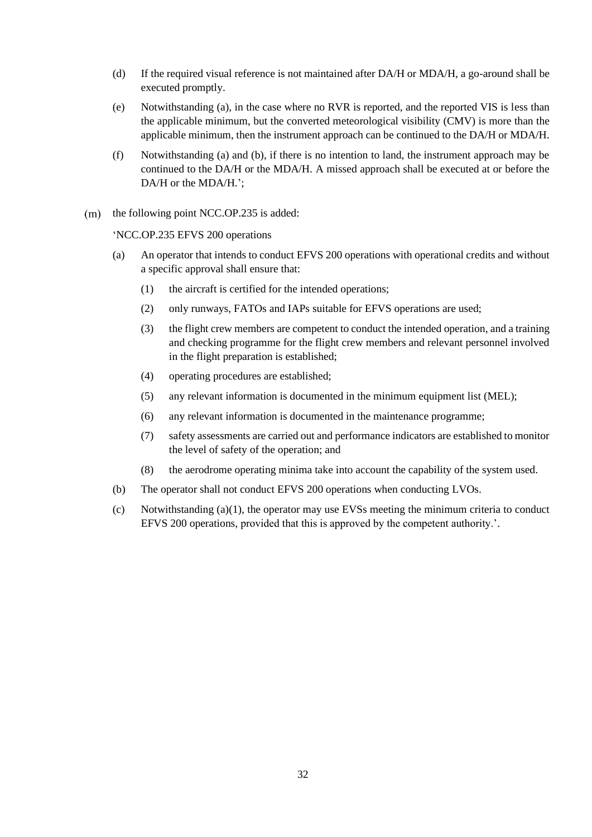- (d) If the required visual reference is not maintained after DA/H or MDA/H, a go-around shall be executed promptly.
- (e) Notwithstanding (a), in the case where no RVR is reported, and the reported VIS is less than the applicable minimum, but the converted meteorological visibility (CMV) is more than the applicable minimum, then the instrument approach can be continued to the DA/H or MDA/H.
- (f) Notwithstanding (a) and (b), if there is no intention to land, the instrument approach may be continued to the DA/H or the MDA/H. A missed approach shall be executed at or before the DA/H or the MDA/H.':
- $(m)$  the following point NCC.OP.235 is added:

'NCC.OP.235 EFVS 200 operations

- (a) An operator that intends to conduct EFVS 200 operations with operational credits and without a specific approval shall ensure that:
	- (1) the aircraft is certified for the intended operations;
	- (2) only runways, FATOs and IAPs suitable for EFVS operations are used;
	- (3) the flight crew members are competent to conduct the intended operation, and a training and checking programme for the flight crew members and relevant personnel involved in the flight preparation is established;
	- (4) operating procedures are established;
	- (5) any relevant information is documented in the minimum equipment list (MEL);
	- (6) any relevant information is documented in the maintenance programme;
	- (7) safety assessments are carried out and performance indicators are established to monitor the level of safety of the operation; and
	- (8) the aerodrome operating minima take into account the capability of the system used.
- (b) The operator shall not conduct EFVS 200 operations when conducting LVOs.
- (c) Notwithstanding  $(a)(1)$ , the operator may use EVSs meeting the minimum criteria to conduct EFVS 200 operations, provided that this is approved by the competent authority.'.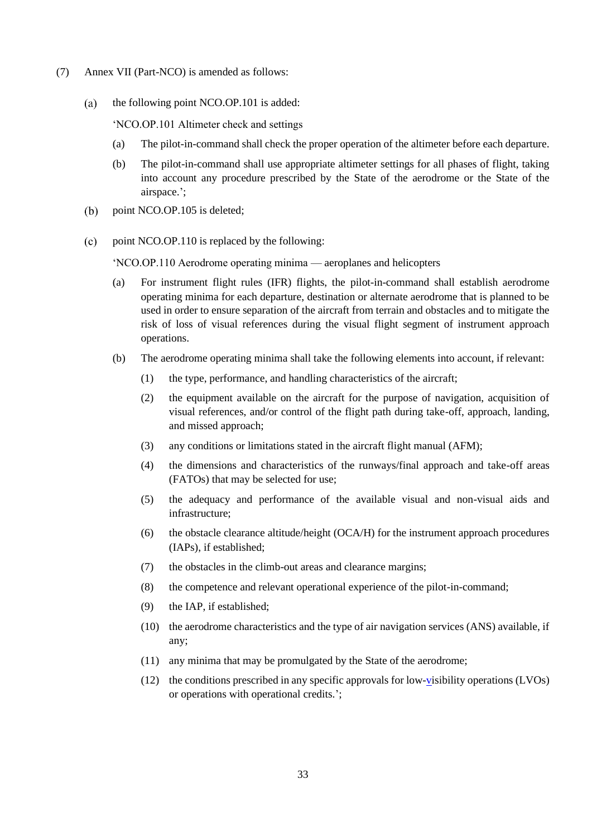- (7) Annex VII (Part-NCO) is amended as follows:
	- $(a)$ the following point NCO.OP.101 is added:

'NCO.OP.101 Altimeter check and settings

- (a) The pilot-in-command shall check the proper operation of the altimeter before each departure.
- (b) The pilot-in-command shall use appropriate altimeter settings for all phases of flight, taking into account any procedure prescribed by the State of the aerodrome or the State of the airspace.';
- $(b)$ point NCO.OP.105 is deleted;
- $(c)$ point NCO.OP.110 is replaced by the following:

'NCO.OP.110 Aerodrome operating minima — aeroplanes and helicopters

- (a) For instrument flight rules (IFR) flights, the pilot-in-command shall establish aerodrome operating minima for each departure, destination or alternate aerodrome that is planned to be used in order to ensure separation of the aircraft from terrain and obstacles and to mitigate the risk of loss of visual references during the visual flight segment of instrument approach operations.
- (b) The aerodrome operating minima shall take the following elements into account, if relevant:
	- (1) the type, performance, and handling characteristics of the aircraft;
	- (2) the equipment available on the aircraft for the purpose of navigation, acquisition of visual references, and/or control of the flight path during take-off, approach, landing, and missed approach;
	- (3) any conditions or limitations stated in the aircraft flight manual (AFM);
	- (4) the dimensions and characteristics of the runways/final approach and take-off areas (FATOs) that may be selected for use;
	- (5) the adequacy and performance of the available visual and non-visual aids and infrastructure;
	- (6) the obstacle clearance altitude/height (OCA/H) for the instrument approach procedures (IAPs), if established;
	- (7) the obstacles in the climb-out areas and clearance margins;
	- (8) the competence and relevant operational experience of the pilot-in-command;
	- (9) the IAP, if established;
	- (10) the aerodrome characteristics and the type of air navigation services (ANS) available, if any;
	- (11) any minima that may be promulgated by the State of the aerodrome;
	- (12) the conditions prescribed in any specific approvals for low[-vi](https://dms.easa.europa.eu/case/rpro/Phase3OpinionsDecisions/AMC%20GM%20AWO%20OROFC%20ready%20for%20RPS%20v0.docx?web=1)sibility operations (LVOs) or operations with operational credits.';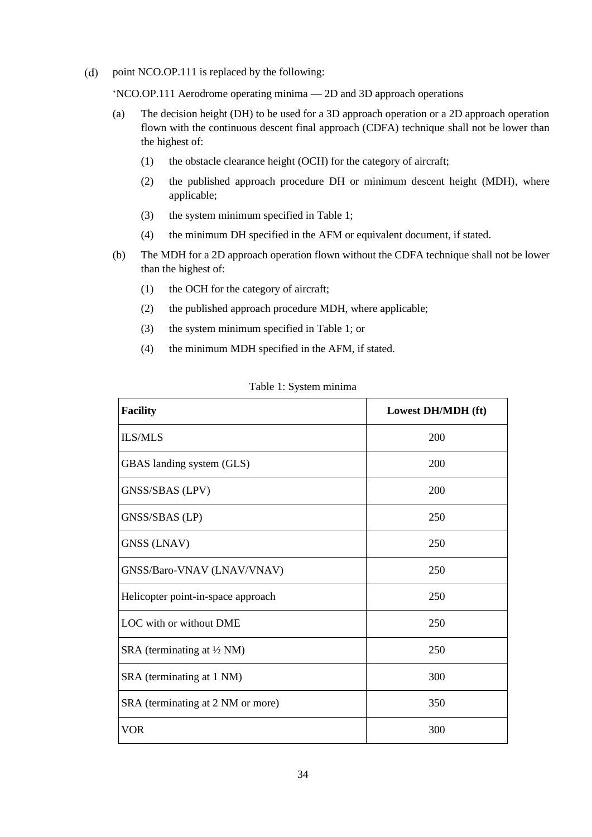$(d)$ point NCO.OP.111 is replaced by the following:

'NCO.OP.111 Aerodrome operating minima — 2D and 3D approach operations

- (a) The decision height (DH) to be used for a 3D approach operation or a 2D approach operation flown with the continuous descent final approach (CDFA) technique shall not be lower than the highest of:
	- (1) the obstacle clearance height (OCH) for the category of aircraft;
	- (2) the published approach procedure DH or minimum descent height (MDH), where applicable;
	- (3) the system minimum specified in Table 1;
	- (4) the minimum DH specified in the AFM or equivalent document, if stated.
- (b) The MDH for a 2D approach operation flown without the CDFA technique shall not be lower than the highest of:
	- (1) the OCH for the category of aircraft;
	- (2) the published approach procedure MDH, where applicable;
	- (3) the system minimum specified in Table 1; or
	- (4) the minimum MDH specified in the AFM, if stated.

| <b>Facility</b>                       | Lowest DH/MDH (ft) |
|---------------------------------------|--------------------|
| <b>ILS/MLS</b>                        | 200                |
| GBAS landing system (GLS)             | <b>200</b>         |
| GNSS/SBAS (LPV)                       | 200                |
| GNSS/SBAS (LP)                        | 250                |
| <b>GNSS (LNAV)</b>                    | 250                |
| GNSS/Baro-VNAV (LNAV/VNAV)            | 250                |
| Helicopter point-in-space approach    | 250                |
| LOC with or without DME               | 250                |
| SRA (terminating at $\frac{1}{2}$ NM) | 250                |
| SRA (terminating at 1 NM)             | 300                |
| SRA (terminating at 2 NM or more)     | 350                |
| <b>VOR</b>                            | 300                |

Table 1: System minima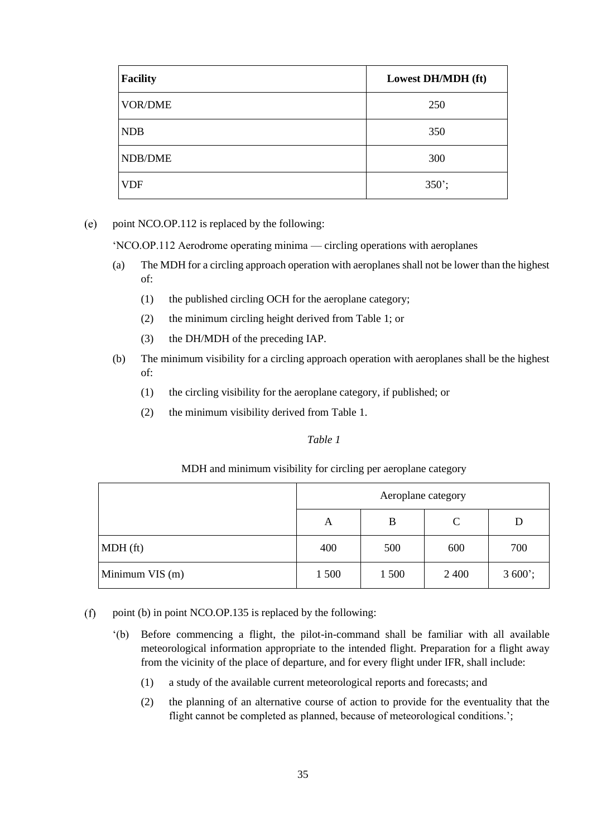| <b>Facility</b> | Lowest DH/MDH (ft) |
|-----------------|--------------------|
| <b>VOR/DME</b>  | 250                |
| <b>NDB</b>      | 350                |
| NDB/DME         | 300                |
| <b>VDF</b>      | $350$ ;            |

point NCO.OP.112 is replaced by the following:  $(e)$ 

'NCO.OP.112 Aerodrome operating minima — circling operations with aeroplanes

- (a) The MDH for a circling approach operation with aeroplanes shall not be lower than the highest of:
	- (1) the published circling OCH for the aeroplane category;
	- (2) the minimum circling height derived from Table 1; or
	- (3) the DH/MDH of the preceding IAP.
- (b) The minimum visibility for a circling approach operation with aeroplanes shall be the highest of:
	- (1) the circling visibility for the aeroplane category, if published; or
	- (2) the minimum visibility derived from Table 1.

## *Table 1*

### MDH and minimum visibility for circling per aeroplane category

|                 | Aeroplane category |       |              |          |
|-----------------|--------------------|-------|--------------|----------|
|                 | A                  | B     | $\mathsf{C}$ | D        |
| $MDH$ (ft)      | 400                | 500   | 600          | 700      |
| Minimum VIS (m) | 1 500              | 1 500 | 2 4 0 0      | $3600$ ; |

 $(f)$ point (b) in point NCO.OP.135 is replaced by the following:

- '(b) Before commencing a flight, the pilot-in-command shall be familiar with all available meteorological information appropriate to the intended flight. Preparation for a flight away from the vicinity of the place of departure, and for every flight under IFR, shall include:
	- (1) a study of the available current meteorological reports and forecasts; and
	- (2) the planning of an alternative course of action to provide for the eventuality that the flight cannot be completed as planned, because of meteorological conditions.';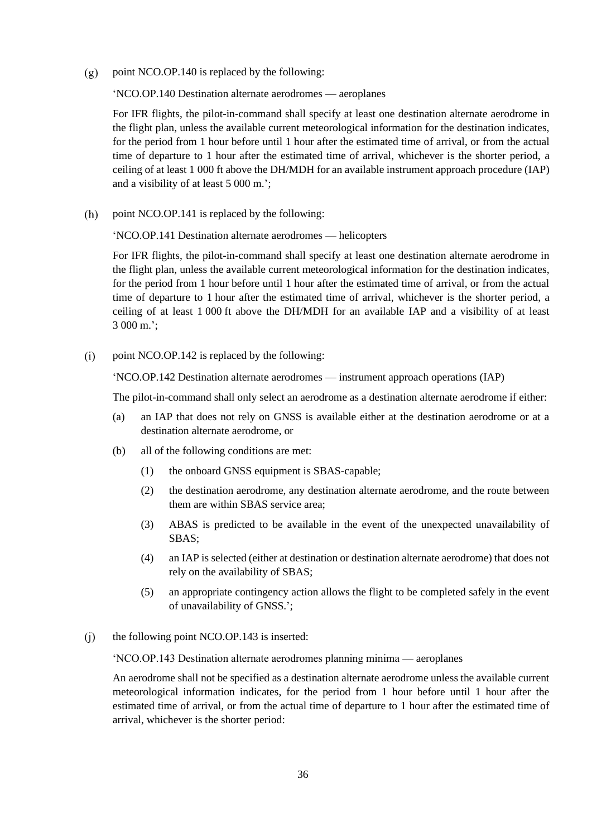point NCO.OP.140 is replaced by the following:  $(g)$ 

'NCO.OP.140 Destination alternate aerodromes — aeroplanes

For IFR flights, the pilot-in-command shall specify at least one destination alternate aerodrome in the flight plan, unless the available current meteorological information for the destination indicates, for the period from 1 hour before until 1 hour after the estimated time of arrival, or from the actual time of departure to 1 hour after the estimated time of arrival, whichever is the shorter period, a ceiling of at least 1 000 ft above the DH/MDH for an available instrument approach procedure (IAP) and a visibility of at least 5 000 m.';

 $(h)$ point NCO.OP.141 is replaced by the following:

'NCO.OP.141 Destination alternate aerodromes — helicopters

For IFR flights, the pilot-in-command shall specify at least one destination alternate aerodrome in the flight plan, unless the available current meteorological information for the destination indicates, for the period from 1 hour before until 1 hour after the estimated time of arrival, or from the actual time of departure to 1 hour after the estimated time of arrival, whichever is the shorter period, a ceiling of at least 1 000 ft above the DH/MDH for an available IAP and a visibility of at least 3 000 m.';

 $(i)$ point NCO.OP.142 is replaced by the following:

'NCO.OP.142 Destination alternate aerodromes — instrument approach operations (IAP)

The pilot-in-command shall only select an aerodrome as a destination alternate aerodrome if either:

- (a) an IAP that does not rely on GNSS is available either at the destination aerodrome or at a destination alternate aerodrome, or
- (b) all of the following conditions are met:
	- (1) the onboard GNSS equipment is SBAS-capable;
	- (2) the destination aerodrome, any destination alternate aerodrome, and the route between them are within SBAS service area;
	- (3) ABAS is predicted to be available in the event of the unexpected unavailability of SBAS;
	- (4) an IAP is selected (either at destination or destination alternate aerodrome) that does not rely on the availability of SBAS;
	- (5) an appropriate contingency action allows the flight to be completed safely in the event of unavailability of GNSS.';
- the following point NCO.OP.143 is inserted:  $(i)$

'NCO.OP.143 Destination alternate aerodromes planning minima — aeroplanes

An aerodrome shall not be specified as a destination alternate aerodrome unless the available current meteorological information indicates, for the period from 1 hour before until 1 hour after the estimated time of arrival, or from the actual time of departure to 1 hour after the estimated time of arrival, whichever is the shorter period: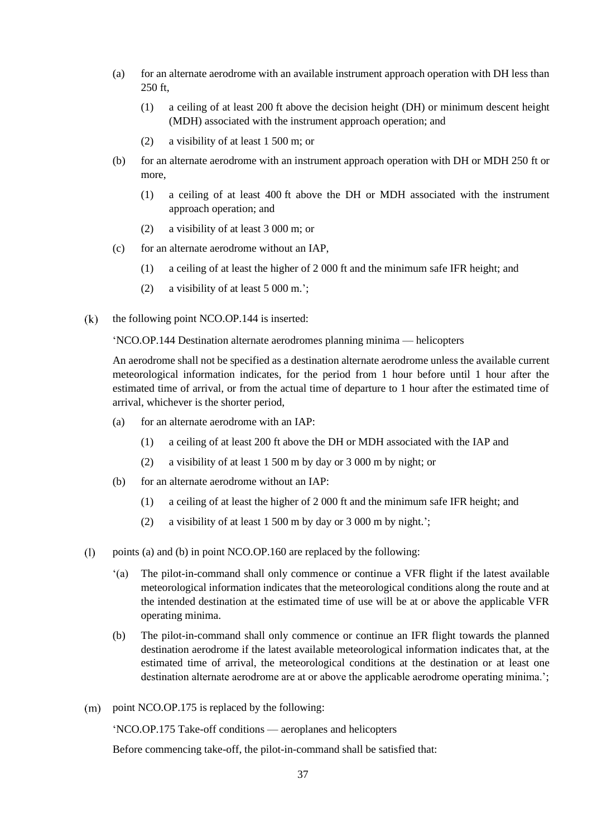- (a) for an alternate aerodrome with an available instrument approach operation with DH less than 250 ft,
	- (1) a ceiling of at least 200 ft above the decision height (DH) or minimum descent height (MDH) associated with the instrument approach operation; and
	- (2) a visibility of at least 1 500 m; or
- (b) for an alternate aerodrome with an instrument approach operation with DH or MDH 250 ft or more,
	- (1) a ceiling of at least 400 ft above the DH or MDH associated with the instrument approach operation; and
	- (2) a visibility of at least 3 000 m; or
- (c) for an alternate aerodrome without an IAP,
	- (1) a ceiling of at least the higher of 2 000 ft and the minimum safe IFR height; and
	- (2) a visibility of at least 5 000 m.';
- $(k)$ the following point NCO.OP.144 is inserted:

'NCO.OP.144 Destination alternate aerodromes planning minima — helicopters

An aerodrome shall not be specified as a destination alternate aerodrome unless the available current meteorological information indicates, for the period from 1 hour before until 1 hour after the estimated time of arrival, or from the actual time of departure to 1 hour after the estimated time of arrival, whichever is the shorter period,

- (a) for an alternate aerodrome with an IAP:
	- (1) a ceiling of at least 200 ft above the DH or MDH associated with the IAP and
	- (2) a visibility of at least 1 500 m by day or 3 000 m by night; or
- (b) for an alternate aerodrome without an IAP:
	- (1) a ceiling of at least the higher of 2 000 ft and the minimum safe IFR height; and
	- (2) a visibility of at least 1 500 m by day or 3 000 m by night.';
- $(1)$ points (a) and (b) in point NCO.OP.160 are replaced by the following:
	- '(a) The pilot-in-command shall only commence or continue a VFR flight if the latest available meteorological information indicates that the meteorological conditions along the route and at the intended destination at the estimated time of use will be at or above the applicable VFR operating minima.
	- (b) The pilot-in-command shall only commence or continue an IFR flight towards the planned destination aerodrome if the latest available meteorological information indicates that, at the estimated time of arrival, the meteorological conditions at the destination or at least one destination alternate aerodrome are at or above the applicable aerodrome operating minima.';
- $(m)$  point NCO.OP.175 is replaced by the following:

'NCO.OP.175 Take-off conditions — aeroplanes and helicopters

Before commencing take-off, the pilot-in-command shall be satisfied that: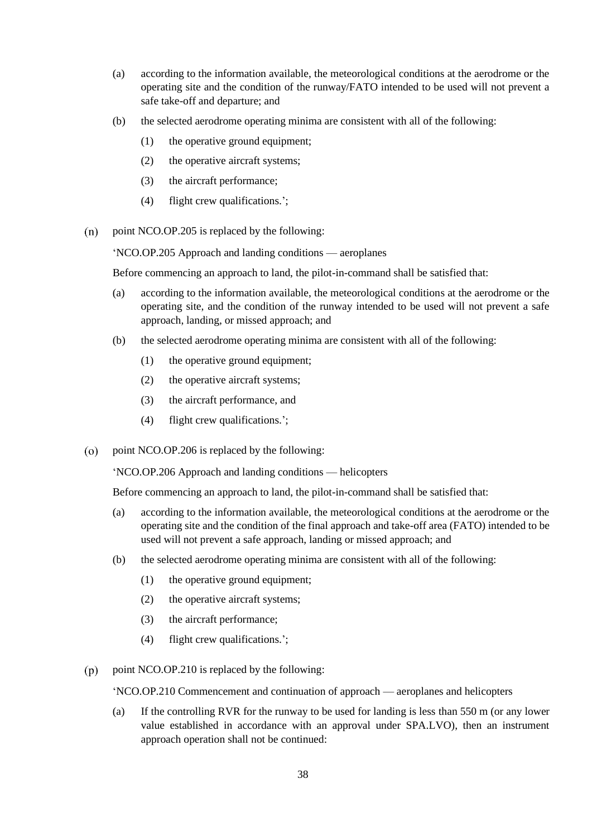- (a) according to the information available, the meteorological conditions at the aerodrome or the operating site and the condition of the runway/FATO intended to be used will not prevent a safe take-off and departure; and
- (b) the selected aerodrome operating minima are consistent with all of the following:
	- (1) the operative ground equipment;
	- (2) the operative aircraft systems;
	- (3) the aircraft performance;
	- (4) flight crew qualifications.';
- $(n)$ point NCO.OP.205 is replaced by the following:

'NCO.OP.205 Approach and landing conditions — aeroplanes

Before commencing an approach to land, the pilot-in-command shall be satisfied that:

- (a) according to the information available, the meteorological conditions at the aerodrome or the operating site, and the condition of the runway intended to be used will not prevent a safe approach, landing, or missed approach; and
- (b) the selected aerodrome operating minima are consistent with all of the following:
	- (1) the operative ground equipment;
	- (2) the operative aircraft systems;
	- (3) the aircraft performance, and
	- (4) flight crew qualifications.';
- point NCO.OP.206 is replaced by the following:  $(0)$

'NCO.OP.206 Approach and landing conditions — helicopters

Before commencing an approach to land, the pilot-in-command shall be satisfied that:

- (a) according to the information available, the meteorological conditions at the aerodrome or the operating site and the condition of the final approach and take-off area (FATO) intended to be used will not prevent a safe approach, landing or missed approach; and
- (b) the selected aerodrome operating minima are consistent with all of the following:
	- (1) the operative ground equipment;
	- (2) the operative aircraft systems;
	- (3) the aircraft performance;
	- (4) flight crew qualifications.';
- $(p)$ point NCO.OP.210 is replaced by the following:

'NCO.OP.210 Commencement and continuation of approach — aeroplanes and helicopters

(a) If the controlling RVR for the runway to be used for landing is less than 550 m (or any lower value established in accordance with an approval under SPA.LVO), then an instrument approach operation shall not be continued: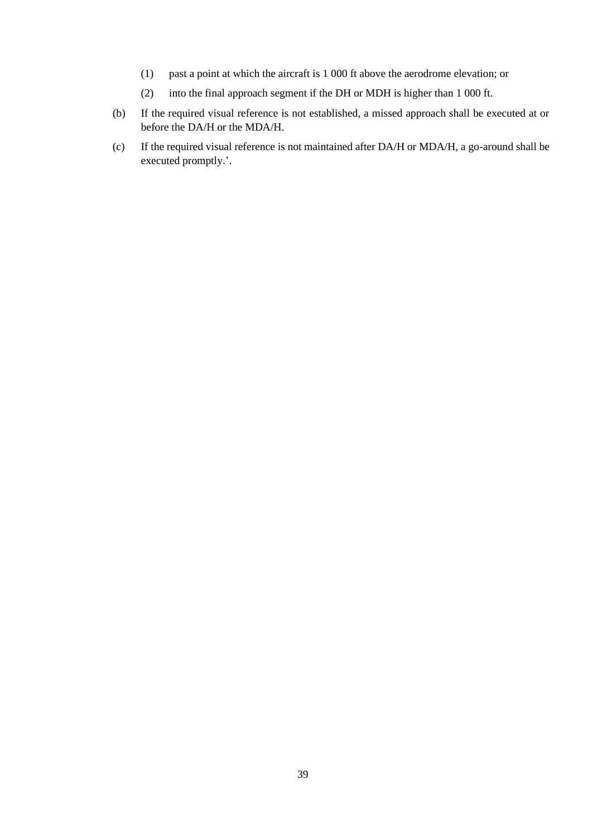- (1) past a point at which the aircraft is 1 000 ft above the aerodrome elevation; or
- (2) into the final approach segment if the DH or MDH is higher than 1 000 ft.
- (b) If the required visual reference is not established, a missed approach shall be executed at or before the DA/H or the MDA/H.
- (c) If the required visual reference is not maintained after DA/H or MDA/H, a go-around shall be executed promptly.'.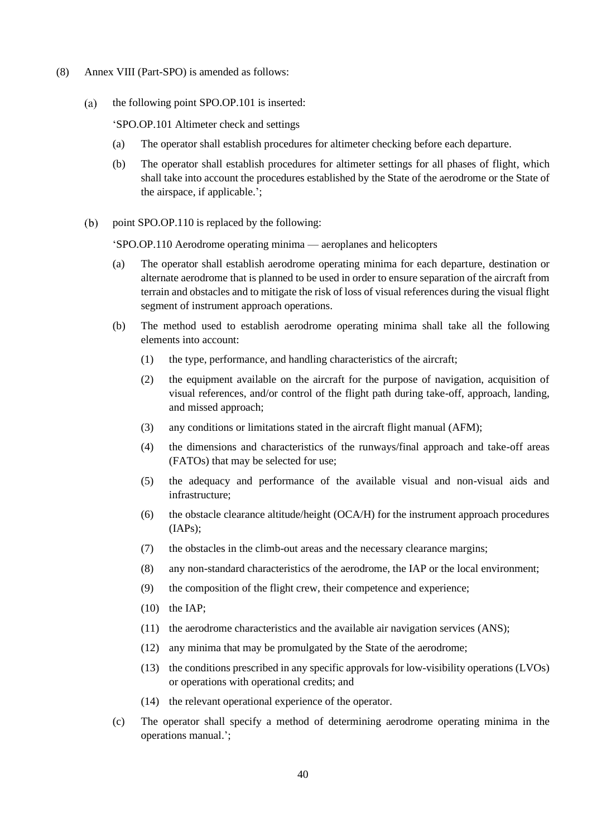- (8) Annex VIII (Part-SPO) is amended as follows:
	- $(a)$ the following point SPO.OP.101 is inserted:

'SPO.OP.101 Altimeter check and settings

- (a) The operator shall establish procedures for altimeter checking before each departure.
- (b) The operator shall establish procedures for altimeter settings for all phases of flight, which shall take into account the procedures established by the State of the aerodrome or the State of the airspace, if applicable.';
- $(b)$ point SPO.OP.110 is replaced by the following:

'SPO.OP.110 Aerodrome operating minima — aeroplanes and helicopters

- (a) The operator shall establish aerodrome operating minima for each departure, destination or alternate aerodrome that is planned to be used in order to ensure separation of the aircraft from terrain and obstacles and to mitigate the risk of loss of visual references during the visual flight segment of instrument approach operations.
- (b) The method used to establish aerodrome operating minima shall take all the following elements into account:
	- (1) the type, performance, and handling characteristics of the aircraft;
	- (2) the equipment available on the aircraft for the purpose of navigation, acquisition of visual references, and/or control of the flight path during take-off, approach, landing, and missed approach;
	- (3) any conditions or limitations stated in the aircraft flight manual (AFM);
	- (4) the dimensions and characteristics of the runways/final approach and take-off areas (FATOs) that may be selected for use;
	- (5) the adequacy and performance of the available visual and non-visual aids and infrastructure;
	- (6) the obstacle clearance altitude/height (OCA/H) for the instrument approach procedures (IAPs);
	- (7) the obstacles in the climb-out areas and the necessary clearance margins;
	- (8) any non-standard characteristics of the aerodrome, the IAP or the local environment;
	- (9) the composition of the flight crew, their competence and experience;
	- (10) the IAP;
	- (11) the aerodrome characteristics and the available air navigation services (ANS);
	- (12) any minima that may be promulgated by the State of the aerodrome;
	- (13) the conditions prescribed in any specific approvals for low-visibility operations (LVOs) or operations with operational credits; and
	- (14) the relevant operational experience of the operator.
- (c) The operator shall specify a method of determining aerodrome operating minima in the operations manual.';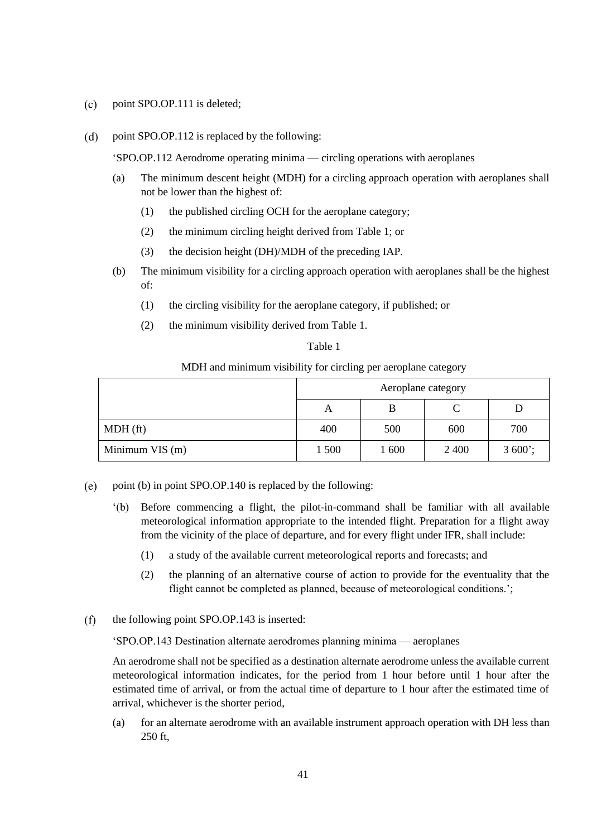- $(c)$ point SPO.OP.111 is deleted;
- $(d)$ point SPO.OP.112 is replaced by the following:

'SPO.OP.112 Aerodrome operating minima — circling operations with aeroplanes

- (a) The minimum descent height (MDH) for a circling approach operation with aeroplanes shall not be lower than the highest of:
	- (1) the published circling OCH for the aeroplane category;
	- (2) the minimum circling height derived from Table 1; or
	- (3) the decision height (DH)/MDH of the preceding IAP.
- (b) The minimum visibility for a circling approach operation with aeroplanes shall be the highest of:
	- (1) the circling visibility for the aeroplane category, if published; or
	- (2) the minimum visibility derived from Table 1.

## Table 1

## MDH and minimum visibility for circling per aeroplane category

|                 | Aeroplane category |       |      |          |
|-----------------|--------------------|-------|------|----------|
|                 | Α                  | B     |      |          |
| $MDH$ (ft)      | 400                | 500   | 600  | 700      |
| Minimum VIS (m) | 1 500              | 1 600 | 2400 | $3600$ ; |

- point (b) in point SPO.OP.140 is replaced by the following:  $(e)$ 
	- '(b) Before commencing a flight, the pilot-in-command shall be familiar with all available meteorological information appropriate to the intended flight. Preparation for a flight away from the vicinity of the place of departure, and for every flight under IFR, shall include:
		- (1) a study of the available current meteorological reports and forecasts; and
		- (2) the planning of an alternative course of action to provide for the eventuality that the flight cannot be completed as planned, because of meteorological conditions.';
- $(f)$ the following point SPO.OP.143 is inserted:

'SPO.OP.143 Destination alternate aerodromes planning minima — aeroplanes

An aerodrome shall not be specified as a destination alternate aerodrome unless the available current meteorological information indicates, for the period from 1 hour before until 1 hour after the estimated time of arrival, or from the actual time of departure to 1 hour after the estimated time of arrival, whichever is the shorter period,

(a) for an alternate aerodrome with an available instrument approach operation with DH less than 250 ft,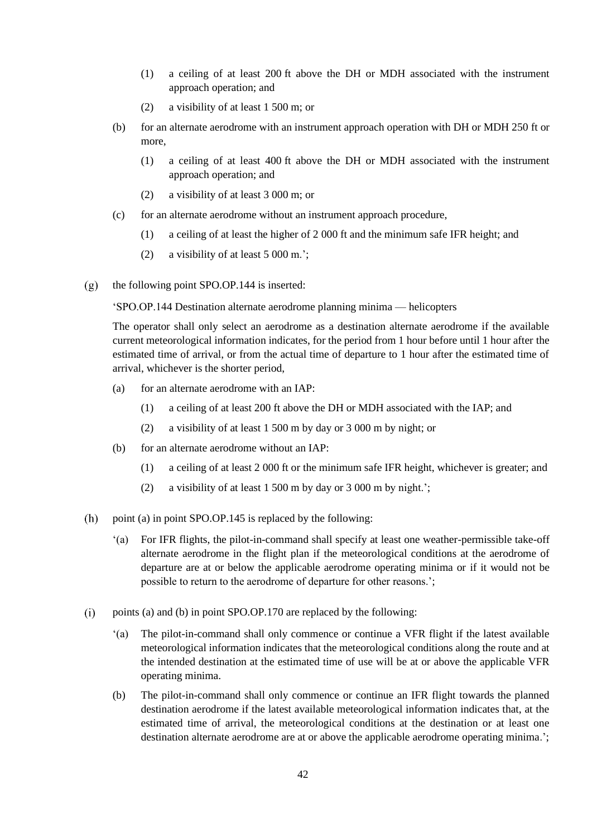- (1) a ceiling of at least 200 ft above the DH or MDH associated with the instrument approach operation; and
- (2) a visibility of at least 1 500 m; or
- (b) for an alternate aerodrome with an instrument approach operation with DH or MDH 250 ft or more,
	- (1) a ceiling of at least 400 ft above the DH or MDH associated with the instrument approach operation; and
	- (2) a visibility of at least 3 000 m; or
- (c) for an alternate aerodrome without an instrument approach procedure,
	- (1) a ceiling of at least the higher of 2 000 ft and the minimum safe IFR height; and
	- (2) a visibility of at least 5 000 m.';
- the following point SPO.OP.144 is inserted:  $(g)$

'SPO.OP.144 Destination alternate aerodrome planning minima — helicopters

The operator shall only select an aerodrome as a destination alternate aerodrome if the available current meteorological information indicates, for the period from 1 hour before until 1 hour after the estimated time of arrival, or from the actual time of departure to 1 hour after the estimated time of arrival, whichever is the shorter period,

- (a) for an alternate aerodrome with an IAP:
	- (1) a ceiling of at least 200 ft above the DH or MDH associated with the IAP; and
	- (2) a visibility of at least 1 500 m by day or 3 000 m by night; or
- (b) for an alternate aerodrome without an IAP:
	- (1) a ceiling of at least 2 000 ft or the minimum safe IFR height, whichever is greater; and
	- (2) a visibility of at least 1 500 m by day or 3 000 m by night.';
- $(h)$ point (a) in point SPO.OP.145 is replaced by the following:
	- '(a) For IFR flights, the pilot-in-command shall specify at least one weather-permissible take-off alternate aerodrome in the flight plan if the meteorological conditions at the aerodrome of departure are at or below the applicable aerodrome operating minima or if it would not be possible to return to the aerodrome of departure for other reasons.';
- points (a) and (b) in point SPO.OP.170 are replaced by the following:  $(i)$ 
	- '(a) The pilot-in-command shall only commence or continue a VFR flight if the latest available meteorological information indicates that the meteorological conditions along the route and at the intended destination at the estimated time of use will be at or above the applicable VFR operating minima.
	- (b) The pilot-in-command shall only commence or continue an IFR flight towards the planned destination aerodrome if the latest available meteorological information indicates that, at the estimated time of arrival, the meteorological conditions at the destination or at least one destination alternate aerodrome are at or above the applicable aerodrome operating minima.';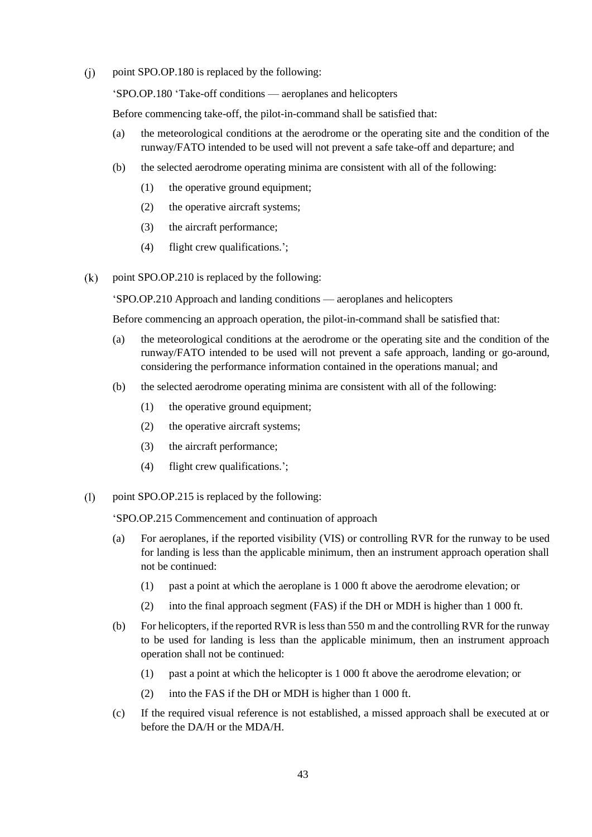$(i)$ point SPO.OP.180 is replaced by the following:

'SPO.OP.180 'Take-off conditions — aeroplanes and helicopters

Before commencing take-off, the pilot-in-command shall be satisfied that:

- (a) the meteorological conditions at the aerodrome or the operating site and the condition of the runway/FATO intended to be used will not prevent a safe take-off and departure; and
- (b) the selected aerodrome operating minima are consistent with all of the following:
	- (1) the operative ground equipment;
	- (2) the operative aircraft systems;
	- (3) the aircraft performance;
	- (4) flight crew qualifications.';
- $(k)$ point SPO.OP.210 is replaced by the following:

'SPO.OP.210 Approach and landing conditions — aeroplanes and helicopters

Before commencing an approach operation, the pilot-in-command shall be satisfied that:

- (a) the meteorological conditions at the aerodrome or the operating site and the condition of the runway/FATO intended to be used will not prevent a safe approach, landing or go-around, considering the performance information contained in the operations manual; and
- (b) the selected aerodrome operating minima are consistent with all of the following:
	- (1) the operative ground equipment;
	- (2) the operative aircraft systems;
	- (3) the aircraft performance;
	- (4) flight crew qualifications.';
- $(1)$ point SPO.OP.215 is replaced by the following:

'SPO.OP.215 Commencement and continuation of approach

- (a) For aeroplanes, if the reported visibility (VIS) or controlling RVR for the runway to be used for landing is less than the applicable minimum, then an instrument approach operation shall not be continued:
	- (1) past a point at which the aeroplane is 1 000 ft above the aerodrome elevation; or
	- (2) into the final approach segment (FAS) if the DH or MDH is higher than 1 000 ft.
- (b) For helicopters, if the reported RVR is less than 550 m and the controlling RVR for the runway to be used for landing is less than the applicable minimum, then an instrument approach operation shall not be continued:
	- (1) past a point at which the helicopter is 1 000 ft above the aerodrome elevation; or
	- (2) into the FAS if the DH or MDH is higher than 1 000 ft.
- (c) If the required visual reference is not established, a missed approach shall be executed at or before the DA/H or the MDA/H.